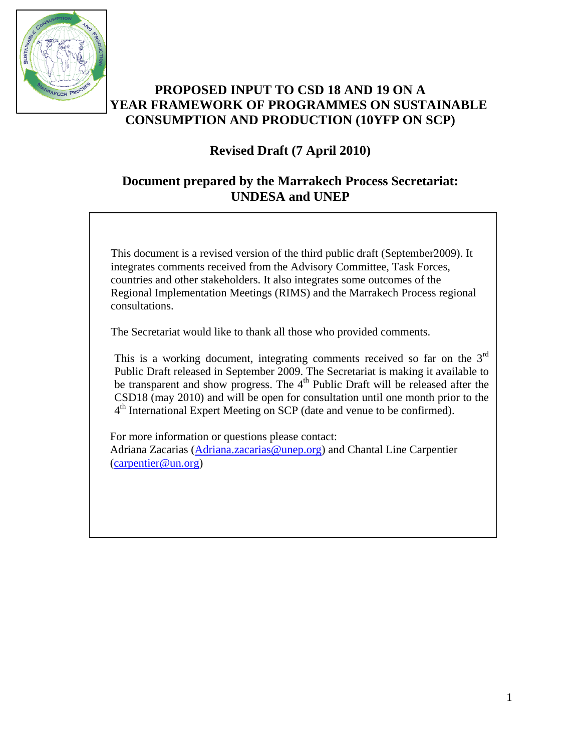

## **PROPOSED INPUT TO CSD 18 AND 19 ON A 10 YEAR FRAMEWORK OF PROGRAMMES ON SUSTAINABLE CONSUMPTION AND PRODUCTION (10YFP ON SCP)**

## **Revised Draft (7 April 2010)**

## **Document prepared by the Marrakech Process Secretariat: UNDESA and UNEP**

This document is a revised version of the third public draft (September2009). It integrates comments received from the Advisory Committee, Task Forces, countries and other stakeholders. It also integrates some outcomes of the Regional Implementation Meetings (RIMS) and the Marrakech Process regional consultations.

The Secretariat would like to thank all those who provided comments.

This is a working document, integrating comments received so far on the  $3<sup>rd</sup>$ Public Draft released in September 2009. The Secretariat is making it available to be transparent and show progress. The 4<sup>th</sup> Public Draft will be released after the CSD18 (may 2010) and will be open for consultation until one month prior to the  $4<sup>th</sup>$  International Expert Meeting on SCP (date and venue to be confirmed).

For more information or questions please contact: Adriana Zacarias [\(Adriana.zacarias@unep.org](mailto:Adriana.zacarias@unep.org)) and Chantal Line Carpentier [\(carpentier@un.org](mailto:carpentier@un.org))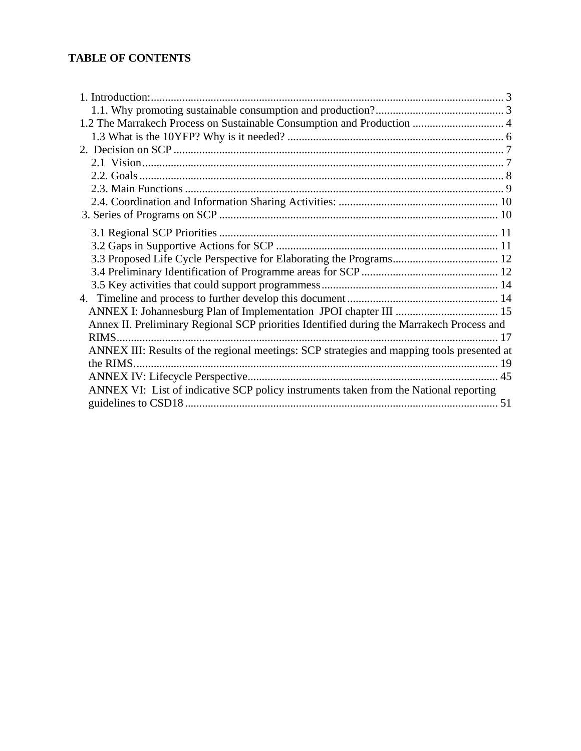### **TABLE OF CONTENTS**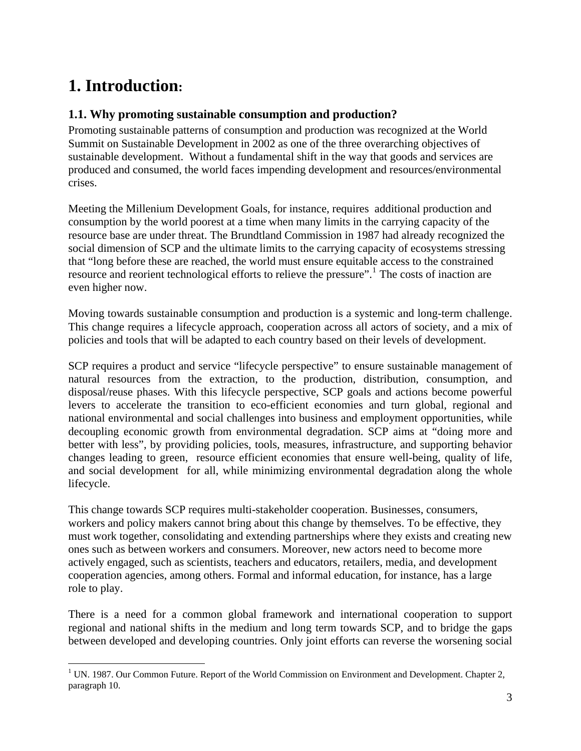# <span id="page-2-0"></span>**1. Introduction:**

### **1.1. Why promoting sustainable consumption and production?**

Promoting sustainable patterns of consumption and production was recognized at the World Summit on Sustainable Development in 2002 as one of the three overarching objectives of sustainable development. Without a fundamental shift in the way that goods and services are produced and consumed, the world faces impending development and resources/environmental crises.

Meeting the Millenium Development Goals, for instance, requires additional production and consumption by the world poorest at a time when many limits in the carrying capacity of the resource base are under threat. The Brundtland Commission in 1987 had already recognized the social dimension of SCP and the ultimate limits to the carrying capacity of ecosystems stressing that "long before these are reached, the world must ensure equitable access to the constrained resource and reorient technological efforts to relieve the pressure".<sup>[1](#page-2-1)</sup> The costs of inaction are even higher now.

Moving towards sustainable consumption and production is a systemic and long-term challenge. This change requires a lifecycle approach, cooperation across all actors of society, and a mix of policies and tools that will be adapted to each country based on their levels of development.

SCP requires a product and service "lifecycle perspective" to ensure sustainable management of natural resources from the extraction, to the production, distribution, consumption, and disposal/reuse phases. With this lifecycle perspective, SCP goals and actions become powerful levers to accelerate the transition to eco-efficient economies and turn global, regional and national environmental and social challenges into business and employment opportunities, while decoupling economic growth from environmental degradation. SCP aims at "doing more and better with less", by providing policies, tools, measures, infrastructure, and supporting behavior changes leading to green, resource efficient economies that ensure well-being, quality of life, and social development for all, while minimizing environmental degradation along the whole lifecycle.

This change towards SCP requires multi-stakeholder cooperation. Businesses, consumers, workers and policy makers cannot bring about this change by themselves. To be effective, they must work together, consolidating and extending partnerships where they exists and creating new ones such as between workers and consumers. Moreover, new actors need to become more actively engaged, such as scientists, teachers and educators, retailers, media, and development cooperation agencies, among others. Formal and informal education, for instance, has a large role to play.

There is a need for a common global framework and international cooperation to support regional and national shifts in the medium and long term towards SCP, and to bridge the gaps between developed and developing countries. Only joint efforts can reverse the worsening social

<span id="page-2-1"></span><sup>&</sup>lt;u>.</u> <sup>1</sup> UN. 1987. Our Common Future. Report of the World Commission on Environment and Development. Chapter 2, paragraph 10.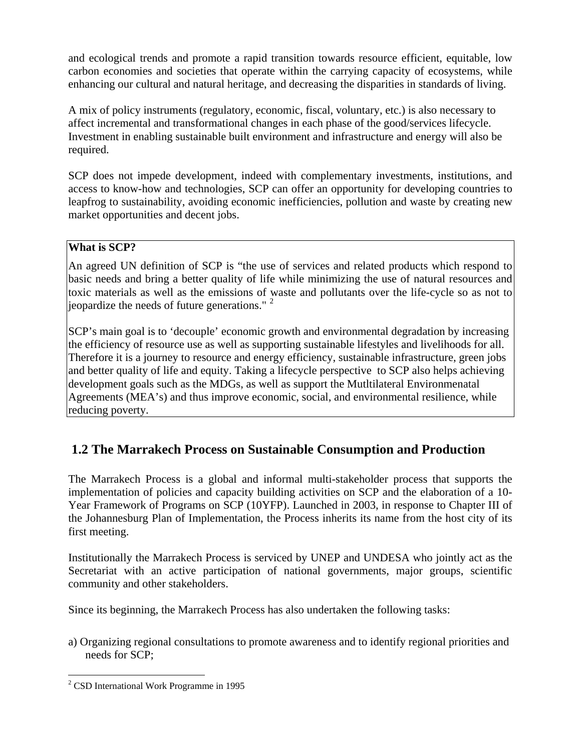<span id="page-3-0"></span>and ecological trends and promote a rapid transition towards resource efficient, equitable, low carbon economies and societies that operate within the carrying capacity of ecosystems, while enhancing our cultural and natural heritage, and decreasing the disparities in standards of living.

A mix of policy instruments (regulatory, economic, fiscal, voluntary, etc.) is also necessary to affect incremental and transformational changes in each phase of the good/services lifecycle. Investment in enabling sustainable built environment and infrastructure and energy will also be required.

SCP does not impede development, indeed with complementary investments, institutions, and access to know-how and technologies, SCP can offer an opportunity for developing countries to leapfrog to sustainability, avoiding economic inefficiencies, pollution and waste by creating new market opportunities and decent jobs.

#### **What is SCP?**

An agreed UN definition of SCP is "the use of services and related products which respond to basic needs and bring a better quality of life while minimizing the use of natural resources and toxic materials as well as the emissions of waste and pollutants over the life-cycle so as not to jeopardize the needs of future generations."  $2$ 

SCP's main goal is to 'decouple' economic growth and environmental degradation by increasing the efficiency of resource use as well as supporting sustainable lifestyles and livelihoods for all. Therefore it is a journey to resource and energy efficiency, sustainable infrastructure, green jobs and better quality of life and equity. Taking a lifecycle perspective to SCP also helps achieving development goals such as the MDGs, as well as support the Mutltilateral Environmenatal Agreements (MEA's) and thus improve economic, social, and environmental resilience, while reducing poverty.

## **1.2 The Marrakech Process on Sustainable Consumption and Production**

The Marrakech Process is a global and informal multi-stakeholder process that supports the implementation of policies and capacity building activities on SCP and the elaboration of a 10- Year Framework of Programs on SCP (10YFP). Launched in 2003, in response to Chapter III of the Johannesburg Plan of Implementation, the Process inherits its name from the host city of its first meeting.

Institutionally the Marrakech Process is serviced by UNEP and UNDESA who jointly act as the Secretariat with an active participation of national governments, major groups, scientific community and other stakeholders.

Since its beginning, the Marrakech Process has also undertaken the following tasks:

a) Organizing regional consultations to promote awareness and to identify regional priorities and needs for SCP;

 $\overline{a}$ 

<span id="page-3-1"></span><sup>&</sup>lt;sup>2</sup> CSD International Work Programme in 1995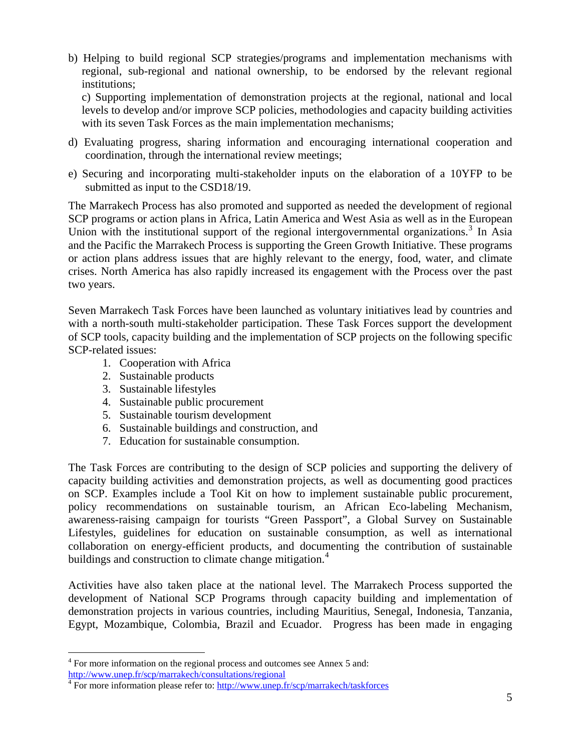<span id="page-4-0"></span>b) Helping to build regional SCP strategies/programs and implementation mechanisms with regional, sub-regional and national ownership, to be endorsed by the relevant regional institutions;

c) Supporting implementation of demonstration projects at the regional, national and local levels to develop and/or improve SCP policies, methodologies and capacity building activities with its seven Task Forces as the main implementation mechanisms;

- d) Evaluating progress, sharing information and encouraging international cooperation and coordination, through the international review meetings;
- e) Securing and incorporating multi-stakeholder inputs on the elaboration of a 10YFP to be submitted as input to the CSD18/19.

The Marrakech Process has also promoted and supported as needed the development of regional SCP programs or action plans in Africa, Latin America and West Asia as well as in the European Union with the institutional support of the regional intergovernmental organizations.<sup>[3](#page-4-0)</sup> In Asia and the Pacific the Marrakech Process is supporting the Green Growth Initiative. These programs or action plans address issues that are highly relevant to the energy, food, water, and climate crises. North America has also rapidly increased its engagement with the Process over the past two years.

Seven Marrakech Task Forces have been launched as voluntary initiatives lead by countries and with a north-south multi-stakeholder participation. These Task Forces support the development of SCP tools, capacity building and the implementation of SCP projects on the following specific SCP-related issues:

- 1. Cooperation with Africa
- 2. Sustainable products
- 3. Sustainable lifestyles

1

- 4. Sustainable public procurement
- 5. Sustainable tourism development
- 6. Sustainable buildings and construction, and
- 7. Education for sustainable consumption.

The Task Forces are contributing to the design of SCP policies and supporting the delivery of capacity building activities and demonstration projects, as well as documenting good practices on SCP. Examples include a Tool Kit on how to implement sustainable public procurement, policy recommendations on sustainable tourism, an African Eco-labeling Mechanism, awareness-raising campaign for tourists "Green Passport", a Global Survey on Sustainable Lifestyles, guidelines for education on sustainable consumption, as well as international collaboration on energy-efficient products, and documenting the contribution of sustainable buildings and construction to climate change mitigation.<sup>[4](#page-4-0)</sup>

Activities have also taken place at the national level. The Marrakech Process supported the development of National SCP Programs through capacity building and implementation of demonstration projects in various countries, including Mauritius, Senegal, Indonesia, Tanzania, Egypt, Mozambique, Colombia, Brazil and Ecuador. Progress has been made in engaging

<sup>&</sup>lt;sup>4</sup> For more information on the regional process and outcomes see Annex 5 and: <http://www.unep.fr/scp/marrakech/consultations/regional>

<sup>&</sup>lt;sup>4</sup> For more information please refer to: <http://www.unep.fr/scp/marrakech/taskforces>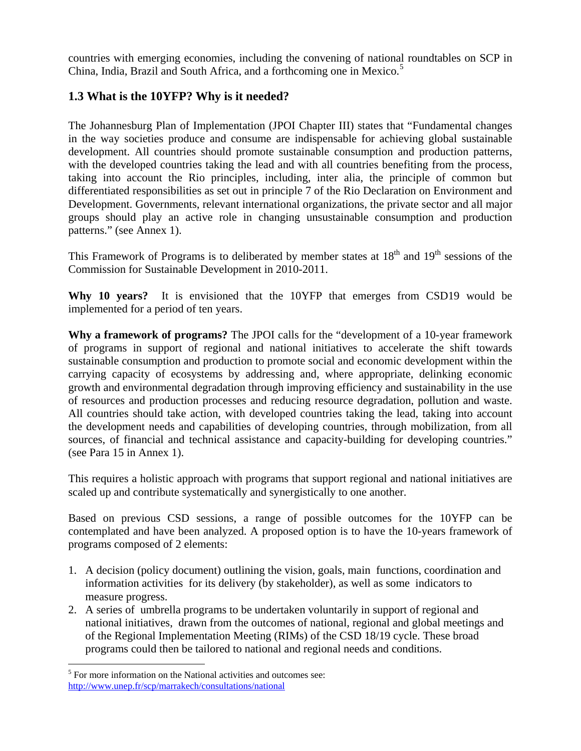<span id="page-5-0"></span>countries with emerging economies, including the convening of national roundtables on SCP in China, India, Brazil and South Africa, and a forthcoming one in Mexico.<sup>[5](#page-5-0)</sup>

### **1.3 What is the 10YFP? Why is it needed?**

The Johannesburg Plan of Implementation (JPOI Chapter III) states that "Fundamental changes in the way societies produce and consume are indispensable for achieving global sustainable development. All countries should promote sustainable consumption and production patterns, with the developed countries taking the lead and with all countries benefiting from the process, taking into account the Rio principles, including, inter alia, the principle of common but differentiated responsibilities as set out in principle 7 of the Rio Declaration on Environment and Development. Governments, relevant international organizations, the private sector and all major groups should play an active role in changing unsustainable consumption and production patterns." (see Annex 1).

This Framework of Programs is to deliberated by member states at  $18<sup>th</sup>$  and  $19<sup>th</sup>$  sessions of the Commission for Sustainable Development in 2010-2011.

**Why 10 years?** It is envisioned that the 10YFP that emerges from CSD19 would be implemented for a period of ten years.

**Why a framework of programs?** The JPOI calls for the "development of a 10-year framework of programs in support of regional and national initiatives to accelerate the shift towards sustainable consumption and production to promote social and economic development within the carrying capacity of ecosystems by addressing and, where appropriate, delinking economic growth and environmental degradation through improving efficiency and sustainability in the use of resources and production processes and reducing resource degradation, pollution and waste. All countries should take action, with developed countries taking the lead, taking into account the development needs and capabilities of developing countries, through mobilization, from all sources, of financial and technical assistance and capacity-building for developing countries." (see Para 15 in Annex 1).

This requires a holistic approach with programs that support regional and national initiatives are scaled up and contribute systematically and synergistically to one another.

Based on previous CSD sessions, a range of possible outcomes for the 10YFP can be contemplated and have been analyzed. A proposed option is to have the 10-years framework of programs composed of 2 elements:

- 1. A decision (policy document) outlining the vision, goals, main functions, coordination and information activities for its delivery (by stakeholder), as well as some indicators to measure progress.
- 2. A series of umbrella programs to be undertaken voluntarily in support of regional and national initiatives, drawn from the outcomes of national, regional and global meetings and of the Regional Implementation Meeting (RIMs) of the CSD 18/19 cycle. These broad programs could then be tailored to national and regional needs and conditions.

1

<sup>&</sup>lt;sup>5</sup> For more information on the National activities and outcomes see: http://www.unep.fr/scp/marrakech/consultations/national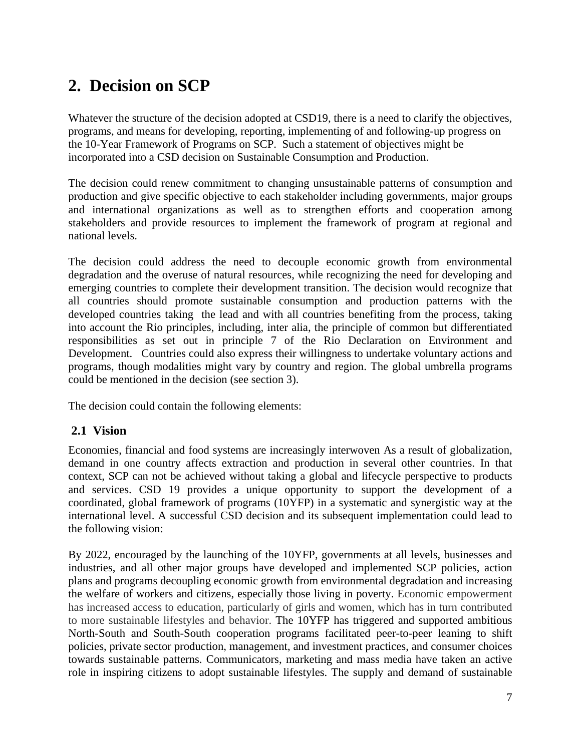# <span id="page-6-0"></span>**2. Decision on SCP**

Whatever the structure of the decision adopted at CSD19, there is a need to clarify the objectives, programs, and means for developing, reporting, implementing of and following-up progress on the 10-Year Framework of Programs on SCP. Such a statement of objectives might be incorporated into a CSD decision on Sustainable Consumption and Production.

The decision could renew commitment to changing unsustainable patterns of consumption and production and give specific objective to each stakeholder including governments, major groups and international organizations as well as to strengthen efforts and cooperation among stakeholders and provide resources to implement the framework of program at regional and national levels.

The decision could address the need to decouple economic growth from environmental degradation and the overuse of natural resources, while recognizing the need for developing and emerging countries to complete their development transition. The decision would recognize that all countries should promote sustainable consumption and production patterns with the developed countries taking the lead and with all countries benefiting from the process, taking into account the Rio principles, including, inter alia, the principle of common but differentiated responsibilities as set out in principle 7 of the Rio Declaration on Environment and Development. Countries could also express their willingness to undertake voluntary actions and programs, though modalities might vary by country and region. The global umbrella programs could be mentioned in the decision (see section 3).

The decision could contain the following elements:

### **2.1 Vision**

Economies, financial and food systems are increasingly interwoven As a result of globalization, demand in one country affects extraction and production in several other countries. In that context, SCP can not be achieved without taking a global and lifecycle perspective to products and services. CSD 19 provides a unique opportunity to support the development of a coordinated, global framework of programs (10YFP) in a systematic and synergistic way at the international level. A successful CSD decision and its subsequent implementation could lead to the following vision:

By 2022, encouraged by the launching of the 10YFP, governments at all levels, businesses and industries, and all other major groups have developed and implemented SCP policies, action plans and programs decoupling economic growth from environmental degradation and increasing the welfare of workers and citizens, especially those living in poverty. Economic empowerment has increased access to education, particularly of girls and women, which has in turn contributed to more sustainable lifestyles and behavior. The 10YFP has triggered and supported ambitious North-South and South-South cooperation programs facilitated peer-to-peer leaning to shift policies, private sector production, management, and investment practices, and consumer choices towards sustainable patterns. Communicators, marketing and mass media have taken an active role in inspiring citizens to adopt sustainable lifestyles. The supply and demand of sustainable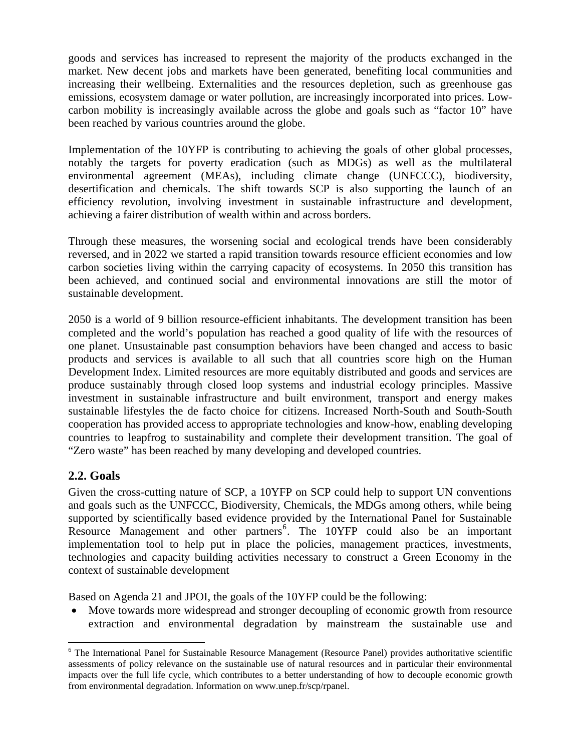<span id="page-7-0"></span>goods and services has increased to represent the majority of the products exchanged in the market. New decent jobs and markets have been generated, benefiting local communities and increasing their wellbeing. Externalities and the resources depletion, such as greenhouse gas emissions, ecosystem damage or water pollution, are increasingly incorporated into prices. Lowcarbon mobility is increasingly available across the globe and goals such as "factor 10" have been reached by various countries around the globe.

Implementation of the 10YFP is contributing to achieving the goals of other global processes, notably the targets for poverty eradication (such as MDGs) as well as the multilateral environmental agreement (MEAs), including climate change (UNFCCC), biodiversity, desertification and chemicals. The shift towards SCP is also supporting the launch of an efficiency revolution, involving investment in sustainable infrastructure and development, achieving a fairer distribution of wealth within and across borders.

Through these measures, the worsening social and ecological trends have been considerably reversed, and in 2022 we started a rapid transition towards resource efficient economies and low carbon societies living within the carrying capacity of ecosystems. In 2050 this transition has been achieved, and continued social and environmental innovations are still the motor of sustainable development.

2050 is a world of 9 billion resource-efficient inhabitants. The development transition has been completed and the world's population has reached a good quality of life with the resources of one planet. Unsustainable past consumption behaviors have been changed and access to basic products and services is available to all such that all countries score high on the Human Development Index. Limited resources are more equitably distributed and goods and services are produce sustainably through closed loop systems and industrial ecology principles. Massive investment in sustainable infrastructure and built environment, transport and energy makes sustainable lifestyles the de facto choice for citizens. Increased North-South and South-South cooperation has provided access to appropriate technologies and know-how, enabling developing countries to leapfrog to sustainability and complete their development transition. The goal of "Zero waste" has been reached by many developing and developed countries.

### **2.2. Goals**

Given the cross-cutting nature of SCP, a 10YFP on SCP could help to support UN conventions and goals such as the UNFCCC, Biodiversity, Chemicals, the MDGs among others, while being supported by scientifically based evidence provided by the International Panel for Sustainable Resource Management and other partners<sup>[6](#page-7-0)</sup>. The 10YFP could also be an important implementation tool to help put in place the policies, management practices, investments, technologies and capacity building activities necessary to construct a Green Economy in the context of sustainable development

Based on Agenda 21 and JPOI, the goals of the 10YFP could be the following:

• Move towards more widespread and stronger decoupling of economic growth from resource extraction and environmental degradation by mainstream the sustainable use and

<sup>&</sup>lt;u>.</u> <sup>6</sup> The International Panel for Sustainable Resource Management (Resource Panel) provides authoritative scientific assessments of policy relevance on the sustainable use of natural resources and in particular their environmental impacts over the full life cycle, which contributes to a better understanding of how to decouple economic growth from environmental degradation. Information on www.unep.fr/scp/rpanel.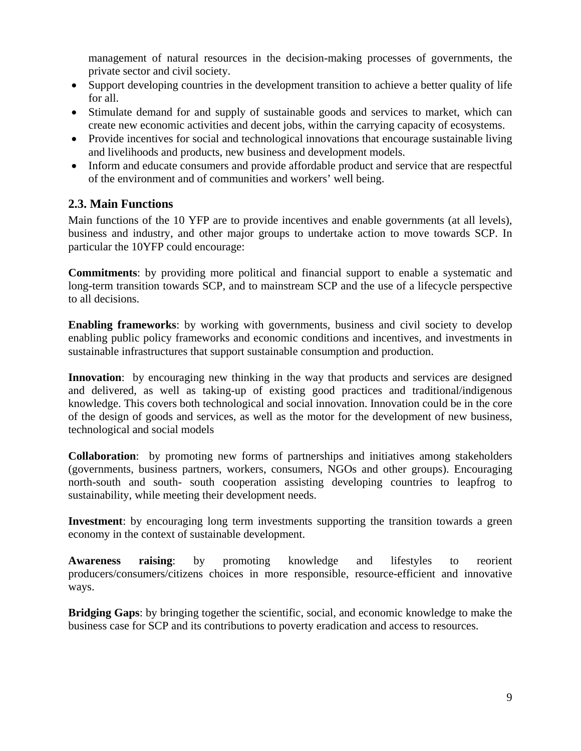<span id="page-8-0"></span>management of natural resources in the decision-making processes of governments, the private sector and civil society.

- Support developing countries in the development transition to achieve a better quality of life for all.
- Stimulate demand for and supply of sustainable goods and services to market, which can create new economic activities and decent jobs, within the carrying capacity of ecosystems.
- Provide incentives for social and technological innovations that encourage sustainable living and livelihoods and products, new business and development models.
- Inform and educate consumers and provide affordable product and service that are respectful of the environment and of communities and workers' well being.

### **2.3. Main Functions**

Main functions of the 10 YFP are to provide incentives and enable governments (at all levels), business and industry, and other major groups to undertake action to move towards SCP. In particular the 10YFP could encourage:

**Commitments**: by providing more political and financial support to enable a systematic and long-term transition towards SCP, and to mainstream SCP and the use of a lifecycle perspective to all decisions.

**Enabling frameworks**: by working with governments, business and civil society to develop enabling public policy frameworks and economic conditions and incentives, and investments in sustainable infrastructures that support sustainable consumption and production.

**Innovation**: by encouraging new thinking in the way that products and services are designed and delivered, as well as taking-up of existing good practices and traditional/indigenous knowledge. This covers both technological and social innovation. Innovation could be in the core of the design of goods and services, as well as the motor for the development of new business, technological and social models

**Collaboration**: by promoting new forms of partnerships and initiatives among stakeholders (governments, business partners, workers, consumers, NGOs and other groups). Encouraging north-south and south- south cooperation assisting developing countries to leapfrog to sustainability, while meeting their development needs.

**Investment**: by encouraging long term investments supporting the transition towards a green economy in the context of sustainable development.

**Awareness raising**: by promoting knowledge and lifestyles to reorient producers/consumers/citizens choices in more responsible, resource-efficient and innovative ways.

**Bridging Gaps**: by bringing together the scientific, social, and economic knowledge to make the business case for SCP and its contributions to poverty eradication and access to resources.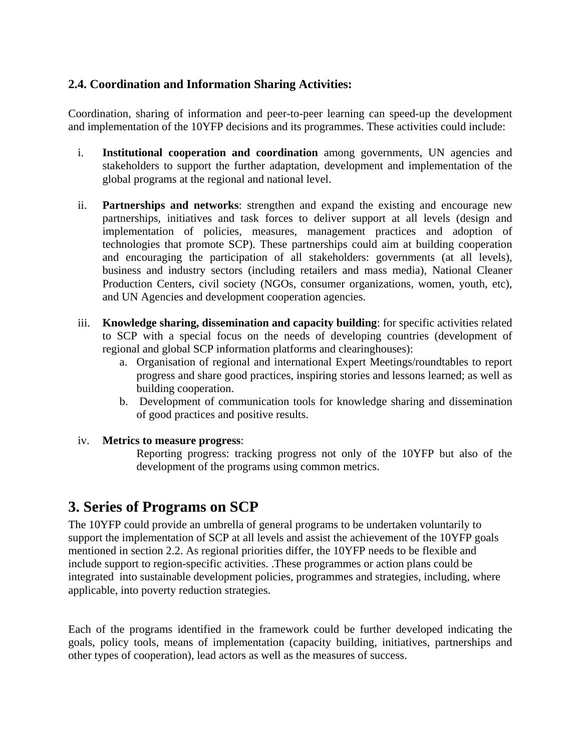### <span id="page-9-0"></span>**2.4. Coordination and Information Sharing Activities:**

Coordination, sharing of information and peer-to-peer learning can speed-up the development and implementation of the 10YFP decisions and its programmes. These activities could include:

- i. **Institutional cooperation and coordination** among governments, UN agencies and stakeholders to support the further adaptation, development and implementation of the global programs at the regional and national level.
- ii. **Partnerships and networks**: strengthen and expand the existing and encourage new partnerships, initiatives and task forces to deliver support at all levels (design and implementation of policies, measures, management practices and adoption of technologies that promote SCP). These partnerships could aim at building cooperation and encouraging the participation of all stakeholders: governments (at all levels), business and industry sectors (including retailers and mass media), National Cleaner Production Centers, civil society (NGOs, consumer organizations, women, youth, etc), and UN Agencies and development cooperation agencies.
- iii. **Knowledge sharing, dissemination and capacity building**: for specific activities related to SCP with a special focus on the needs of developing countries (development of regional and global SCP information platforms and clearinghouses):
	- a. Organisation of regional and international Expert Meetings/roundtables to report progress and share good practices, inspiring stories and lessons learned; as well as building cooperation.
	- b. Development of communication tools for knowledge sharing and dissemination of good practices and positive results.

#### iv. **Metrics to measure progress**:

Reporting progress: tracking progress not only of the 10YFP but also of the development of the programs using common metrics.

## **3. Series of Programs on SCP**

The 10YFP could provide an umbrella of general programs to be undertaken voluntarily to support the implementation of SCP at all levels and assist the achievement of the 10YFP goals mentioned in section 2.2. As regional priorities differ, the 10YFP needs to be flexible and include support to region-specific activities. .These programmes or action plans could be integrated into sustainable development policies, programmes and strategies, including, where applicable, into poverty reduction strategies.

Each of the programs identified in the framework could be further developed indicating the goals, policy tools, means of implementation (capacity building, initiatives, partnerships and other types of cooperation), lead actors as well as the measures of success.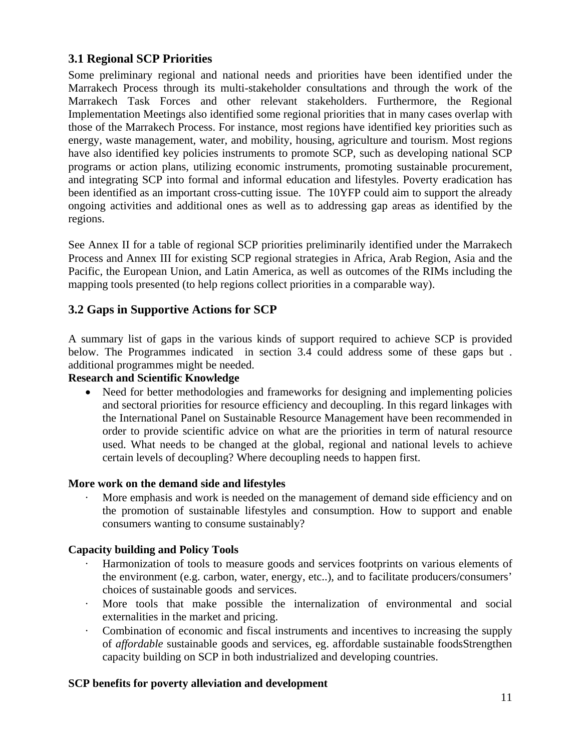### <span id="page-10-0"></span>**3.1 Regional SCP Priorities**

Some preliminary regional and national needs and priorities have been identified under the Marrakech Process through its multi-stakeholder consultations and through the work of the Marrakech Task Forces and other relevant stakeholders. Furthermore, the Regional Implementation Meetings also identified some regional priorities that in many cases overlap with those of the Marrakech Process. For instance, most regions have identified key priorities such as energy, waste management, water, and mobility, housing, agriculture and tourism. Most regions have also identified key policies instruments to promote SCP, such as developing national SCP programs or action plans, utilizing economic instruments, promoting sustainable procurement, and integrating SCP into formal and informal education and lifestyles. Poverty eradication has been identified as an important cross-cutting issue. The 10YFP could aim to support the already ongoing activities and additional ones as well as to addressing gap areas as identified by the regions.

See Annex II for a table of regional SCP priorities preliminarily identified under the Marrakech Process and Annex III for existing SCP regional strategies in Africa, Arab Region, Asia and the Pacific, the European Union, and Latin America, as well as outcomes of the RIMs including the mapping tools presented (to help regions collect priorities in a comparable way).

## **3.2 Gaps in Supportive Actions for SCP**

A summary list of gaps in the various kinds of support required to achieve SCP is provided below. The Programmes indicated in section 3.4 could address some of these gaps but . additional programmes might be needed.

#### **Research and Scientific Knowledge**

• Need for better methodologies and frameworks for designing and implementing policies and sectoral priorities for resource efficiency and decoupling. In this regard linkages with the International Panel on Sustainable Resource Management have been recommended in order to provide scientific advice on what are the priorities in term of natural resource used. What needs to be changed at the global, regional and national levels to achieve certain levels of decoupling? Where decoupling needs to happen first.

#### **More work on the demand side and lifestyles**

· More emphasis and work is needed on the management of demand side efficiency and on the promotion of sustainable lifestyles and consumption. How to support and enable consumers wanting to consume sustainably?

#### **Capacity building and Policy Tools**

- Harmonization of tools to measure goods and services footprints on various elements of the environment (e.g. carbon, water, energy, etc..), and to facilitate producers/consumers' choices of sustainable goods and services.
- More tools that make possible the internalization of environmental and social externalities in the market and pricing.
- Combination of economic and fiscal instruments and incentives to increasing the supply of *affordable* sustainable goods and services, eg. affordable sustainable foodsStrengthen capacity building on SCP in both industrialized and developing countries.

#### **SCP benefits for poverty alleviation and development**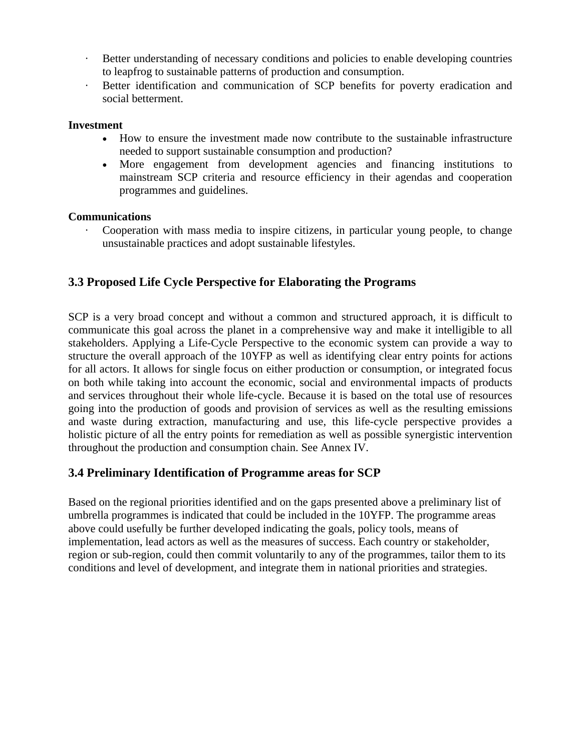- <span id="page-11-0"></span>· Better understanding of necessary conditions and policies to enable developing countries to leapfrog to sustainable patterns of production and consumption.
- · Better identification and communication of SCP benefits for poverty eradication and social betterment.

#### **Investment**

- How to ensure the investment made now contribute to the sustainable infrastructure needed to support sustainable consumption and production?
- More engagement from development agencies and financing institutions to mainstream SCP criteria and resource efficiency in their agendas and cooperation programmes and guidelines.

#### **Communications**

· Cooperation with mass media to inspire citizens, in particular young people, to change unsustainable practices and adopt sustainable lifestyles.

#### **3.3 Proposed Life Cycle Perspective for Elaborating the Programs**

SCP is a very broad concept and without a common and structured approach, it is difficult to communicate this goal across the planet in a comprehensive way and make it intelligible to all stakeholders. Applying a Life-Cycle Perspective to the economic system can provide a way to structure the overall approach of the 10YFP as well as identifying clear entry points for actions for all actors. It allows for single focus on either production or consumption, or integrated focus on both while taking into account the economic, social and environmental impacts of products and services throughout their whole life-cycle. Because it is based on the total use of resources going into the production of goods and provision of services as well as the resulting emissions and waste during extraction, manufacturing and use, this life-cycle perspective provides a holistic picture of all the entry points for remediation as well as possible synergistic intervention throughout the production and consumption chain. See Annex IV.

#### **3.4 Preliminary Identification of Programme areas for SCP**

Based on the regional priorities identified and on the gaps presented above a preliminary list of umbrella programmes is indicated that could be included in the 10YFP. The programme areas above could usefully be further developed indicating the goals, policy tools, means of implementation, lead actors as well as the measures of success. Each country or stakeholder, region or sub-region, could then commit voluntarily to any of the programmes, tailor them to its conditions and level of development, and integrate them in national priorities and strategies.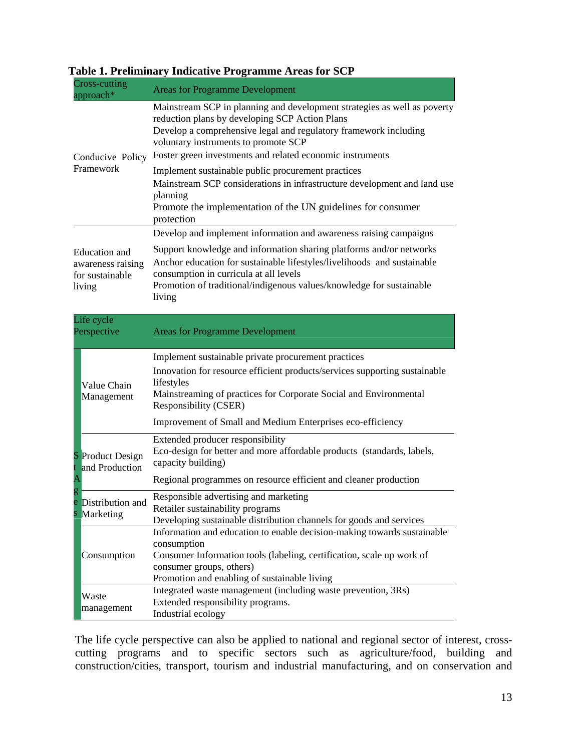| Cross-cutting<br>approach*                                      | <b>Areas for Programme Development</b>                                                                                                                                                                                                                                     |
|-----------------------------------------------------------------|----------------------------------------------------------------------------------------------------------------------------------------------------------------------------------------------------------------------------------------------------------------------------|
|                                                                 | Mainstream SCP in planning and development strategies as well as poverty<br>reduction plans by developing SCP Action Plans<br>Develop a comprehensive legal and regulatory framework including<br>voluntary instruments to promote SCP                                     |
| Conducive Policy                                                | Foster green investments and related economic instruments                                                                                                                                                                                                                  |
| Framework                                                       | Implement sustainable public procurement practices<br>Mainstream SCP considerations in infrastructure development and land use<br>planning<br>Promote the implementation of the UN guidelines for consumer<br>protection                                                   |
|                                                                 | Develop and implement information and awareness raising campaigns                                                                                                                                                                                                          |
| Education and<br>awareness raising<br>for sustainable<br>living | Support knowledge and information sharing platforms and/or networks<br>Anchor education for sustainable lifestyles/livelihoods and sustainable<br>consumption in curricula at all levels<br>Promotion of traditional/indigenous values/knowledge for sustainable<br>living |
| Life cycle<br>Perspective                                       | <b>Areas for Programme Development</b>                                                                                                                                                                                                                                     |
| Value Chain<br>Management                                       | Implement sustainable private procurement practices<br>Innovation for resource efficient products/services supporting sustainable<br>lifestyles<br>Mainstreaming of practices for Corporate Social and Environmental<br><b>Responsibility (CSER)</b>                       |
|                                                                 | Improvement of Small and Medium Enterprises eco-efficiency                                                                                                                                                                                                                 |
| <b>S</b> Product Design<br>and Production                       | Extended producer responsibility<br>Eco-design for better and more affordable products (standards, labels,<br>capacity building)                                                                                                                                           |
|                                                                 | Regional programmes on resource efficient and cleaner production                                                                                                                                                                                                           |
| Distribution and<br>Marketing                                   | Responsible advertising and marketing<br>Retailer sustainability programs<br>Developing sustainable distribution channels for goods and services                                                                                                                           |
| Consumption                                                     | Information and education to enable decision-making towards sustainable<br>consumption<br>Consumer Information tools (labeling, certification, scale up work of<br>consumer groups, others)<br>Promotion and enabling of sustainable living                                |
| Waste<br>management                                             | Integrated waste management (including waste prevention, 3Rs)<br>Extended responsibility programs.<br>Industrial ecology                                                                                                                                                   |

#### **Table 1. Preliminary Indicative Programme Areas for SCP**

The life cycle perspective can also be applied to national and regional sector of interest, crosscutting programs and to specific sectors such as agriculture/food, building and construction/cities, transport, tourism and industrial manufacturing, and on conservation and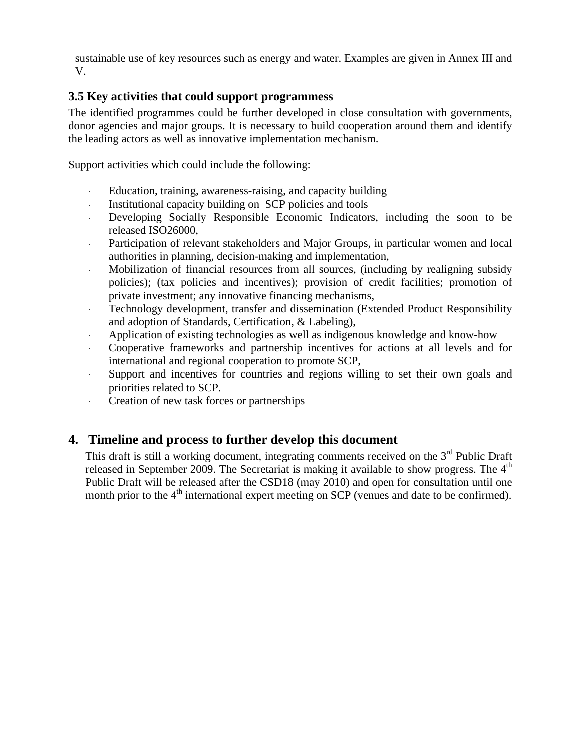<span id="page-13-0"></span>sustainable use of key resources such as energy and water. Examples are given in Annex III and V.

### **3.5 Key activities that could support programmess**

The identified programmes could be further developed in close consultation with governments, donor agencies and major groups. It is necessary to build cooperation around them and identify the leading actors as well as innovative implementation mechanism.

Support activities which could include the following:

- · Education, training, awareness-raising, and capacity building
- · Institutional capacity building on SCP policies and tools
- Developing Socially Responsible Economic Indicators, including the soon to be released ISO26000,
- · Participation of relevant stakeholders and Major Groups, in particular women and local authorities in planning, decision-making and implementation,
- · Mobilization of financial resources from all sources, (including by realigning subsidy policies); (tax policies and incentives); provision of credit facilities; promotion of private investment; any innovative financing mechanisms,
- · Technology development, transfer and dissemination (Extended Product Responsibility and adoption of Standards, Certification, & Labeling),
- · Application of existing technologies as well as indigenous knowledge and know-how
- Cooperative frameworks and partnership incentives for actions at all levels and for international and regional cooperation to promote SCP,
- · Support and incentives for countries and regions willing to set their own goals and priorities related to SCP.
- Creation of new task forces or partnerships

## **4. Timeline and process to further develop this document**

This draft is still a working document, integrating comments received on the  $3<sup>rd</sup>$  Public Draft released in September 2009. The Secretariat is making it available to show progress. The  $4<sup>th</sup>$ Public Draft will be released after the CSD18 (may 2010) and open for consultation until one month prior to the  $4<sup>th</sup>$  international expert meeting on SCP (venues and date to be confirmed).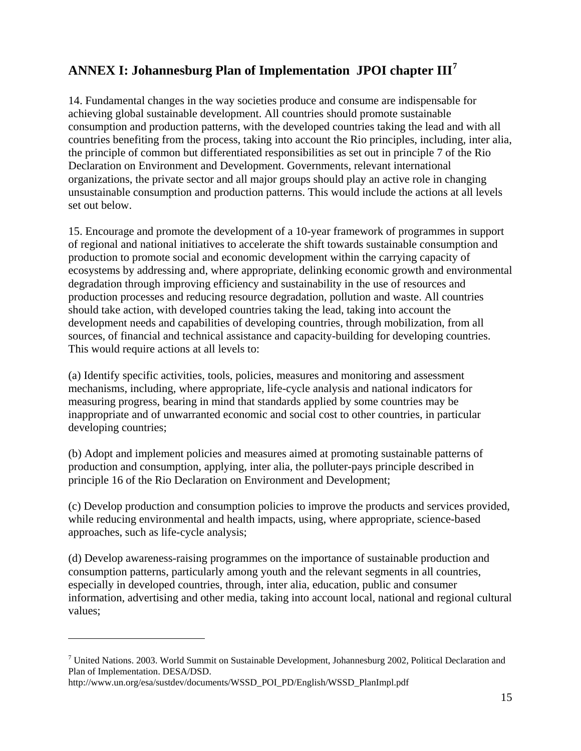## <span id="page-14-0"></span>**ANNEX I: Johannesburg Plan of Implementation JPOI chapter III[7](#page-14-0)**

14. Fundamental changes in the way societies produce and consume are indispensable for achieving global sustainable development. All countries should promote sustainable consumption and production patterns, with the developed countries taking the lead and with all countries benefiting from the process, taking into account the Rio principles, including, inter alia, the principle of common but differentiated responsibilities as set out in principle 7 of the Rio Declaration on Environment and Development. Governments, relevant international organizations, the private sector and all major groups should play an active role in changing unsustainable consumption and production patterns. This would include the actions at all levels set out below.

15. Encourage and promote the development of a 10-year framework of programmes in support of regional and national initiatives to accelerate the shift towards sustainable consumption and production to promote social and economic development within the carrying capacity of ecosystems by addressing and, where appropriate, delinking economic growth and environmental degradation through improving efficiency and sustainability in the use of resources and production processes and reducing resource degradation, pollution and waste. All countries should take action, with developed countries taking the lead, taking into account the development needs and capabilities of developing countries, through mobilization, from all sources, of financial and technical assistance and capacity-building for developing countries. This would require actions at all levels to:

(a) Identify specific activities, tools, policies, measures and monitoring and assessment mechanisms, including, where appropriate, life-cycle analysis and national indicators for measuring progress, bearing in mind that standards applied by some countries may be inappropriate and of unwarranted economic and social cost to other countries, in particular developing countries;

(b) Adopt and implement policies and measures aimed at promoting sustainable patterns of production and consumption, applying, inter alia, the polluter-pays principle described in principle 16 of the Rio Declaration on Environment and Development;

(c) Develop production and consumption policies to improve the products and services provided, while reducing environmental and health impacts, using, where appropriate, science-based approaches, such as life-cycle analysis;

(d) Develop awareness-raising programmes on the importance of sustainable production and consumption patterns, particularly among youth and the relevant segments in all countries, especially in developed countries, through, inter alia, education, public and consumer information, advertising and other media, taking into account local, national and regional cultural values;

http://www.un.org/esa/sustdev/documents/WSSD\_POI\_PD/English/WSSD\_PlanImpl.pdf

1

 $<sup>7</sup>$  United Nations. 2003. World Summit on Sustainable Development, Johannesburg 2002, Political Declaration and</sup> Plan of Implementation. DESA/DSD.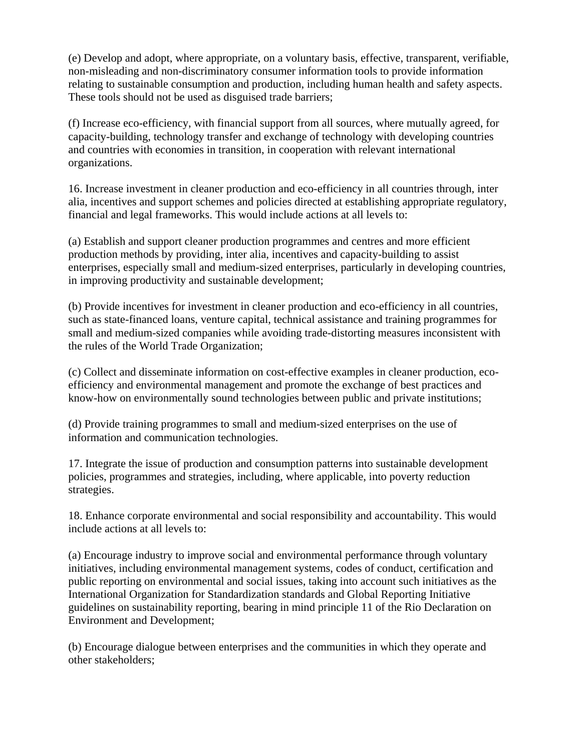(e) Develop and adopt, where appropriate, on a voluntary basis, effective, transparent, verifiable, non-misleading and non-discriminatory consumer information tools to provide information relating to sustainable consumption and production, including human health and safety aspects. These tools should not be used as disguised trade barriers;

(f) Increase eco-efficiency, with financial support from all sources, where mutually agreed, for capacity-building, technology transfer and exchange of technology with developing countries and countries with economies in transition, in cooperation with relevant international organizations.

16. Increase investment in cleaner production and eco-efficiency in all countries through, inter alia, incentives and support schemes and policies directed at establishing appropriate regulatory, financial and legal frameworks. This would include actions at all levels to:

(a) Establish and support cleaner production programmes and centres and more efficient production methods by providing, inter alia, incentives and capacity-building to assist enterprises, especially small and medium-sized enterprises, particularly in developing countries, in improving productivity and sustainable development;

(b) Provide incentives for investment in cleaner production and eco-efficiency in all countries, such as state-financed loans, venture capital, technical assistance and training programmes for small and medium-sized companies while avoiding trade-distorting measures inconsistent with the rules of the World Trade Organization;

(c) Collect and disseminate information on cost-effective examples in cleaner production, ecoefficiency and environmental management and promote the exchange of best practices and know-how on environmentally sound technologies between public and private institutions;

(d) Provide training programmes to small and medium-sized enterprises on the use of information and communication technologies.

17. Integrate the issue of production and consumption patterns into sustainable development policies, programmes and strategies, including, where applicable, into poverty reduction strategies.

18. Enhance corporate environmental and social responsibility and accountability. This would include actions at all levels to:

(a) Encourage industry to improve social and environmental performance through voluntary initiatives, including environmental management systems, codes of conduct, certification and public reporting on environmental and social issues, taking into account such initiatives as the International Organization for Standardization standards and Global Reporting Initiative guidelines on sustainability reporting, bearing in mind principle 11 of the Rio Declaration on Environment and Development;

(b) Encourage dialogue between enterprises and the communities in which they operate and other stakeholders;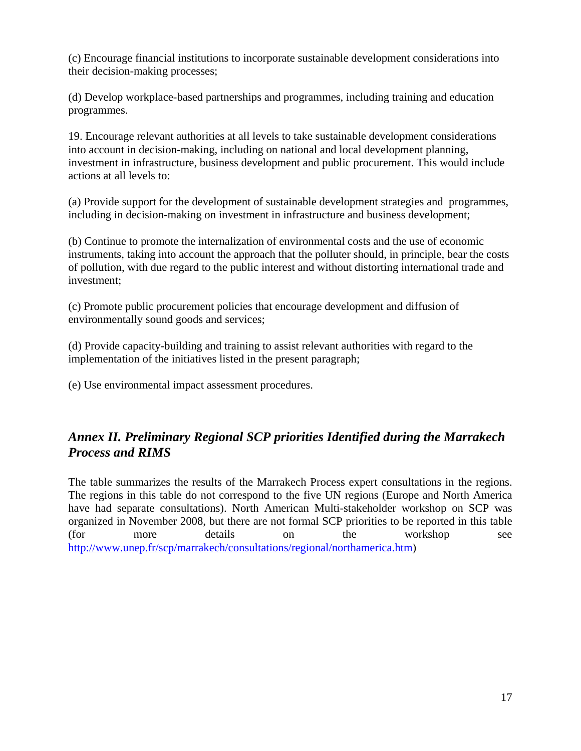<span id="page-16-0"></span>(c) Encourage financial institutions to incorporate sustainable development considerations into their decision-making processes;

(d) Develop workplace-based partnerships and programmes, including training and education programmes.

19. Encourage relevant authorities at all levels to take sustainable development considerations into account in decision-making, including on national and local development planning, investment in infrastructure, business development and public procurement. This would include actions at all levels to:

(a) Provide support for the development of sustainable development strategies and programmes, including in decision-making on investment in infrastructure and business development;

(b) Continue to promote the internalization of environmental costs and the use of economic instruments, taking into account the approach that the polluter should, in principle, bear the costs of pollution, with due regard to the public interest and without distorting international trade and investment;

(c) Promote public procurement policies that encourage development and diffusion of environmentally sound goods and services;

(d) Provide capacity-building and training to assist relevant authorities with regard to the implementation of the initiatives listed in the present paragraph;

(e) Use environmental impact assessment procedures.

## *Annex II. Preliminary Regional SCP priorities Identified during the Marrakech Process and RIMS*

The table summarizes the results of the Marrakech Process expert consultations in the regions. The regions in this table do not correspond to the five UN regions (Europe and North America have had separate consultations). North American Multi-stakeholder workshop on SCP was organized in November 2008, but there are not formal SCP priorities to be reported in this table (for more details on the workshop see [http://www.unep.fr/scp/marrakech/consultations/regional/northamerica.htm\)](http://www.unep.fr/scp/marrakech/consultations/regional/northamerica.htm)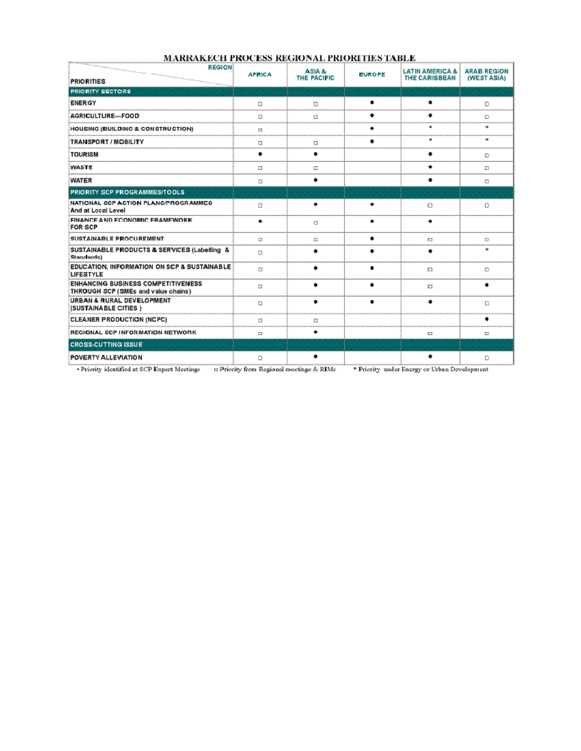| <b>REGION</b>                                                                    | <b>AFRICA</b>                            | ASIA &<br>THE PACIFIC | <b>EUROPE</b> | <b>LATIN AMERICA &amp;</b><br>THE CARIBBEAN  | <b>ARAB REGION</b> |
|----------------------------------------------------------------------------------|------------------------------------------|-----------------------|---------------|----------------------------------------------|--------------------|
| <b>PRIORITIES</b>                                                                |                                          |                       |               |                                              | (WEST ASIA)        |
| PRIORITY SECTORS                                                                 |                                          |                       |               |                                              |                    |
| <b>ENERGY</b>                                                                    | o                                        | O                     | ۰             | ۰                                            | σ                  |
| AGRICULTURE-FOOD                                                                 | O                                        | ü                     |               |                                              | Ö                  |
| HOUSING (BUILDING & CONSTRUCTION)                                                | a                                        |                       |               |                                              |                    |
| TRANSPORT / MOBILITY                                                             | o                                        | O.                    |               | ۰                                            | $\mathbf{m}$       |
| <b>TOURISM</b>                                                                   | ٠                                        |                       |               | ۰                                            | D                  |
| WASTE                                                                            | α                                        | α                     |               | ۰                                            | в                  |
| <b>WATER</b>                                                                     | α                                        | ٠                     |               | ۰                                            | D                  |
| <b>PRIORITY SCP PROGRAMMES/TOOLS</b>                                             |                                          |                       |               |                                              |                    |
| NATIONAL SCP ACTION PLANS/PROGRAMMES<br>And at Local Level                       | O                                        | ۰                     |               | Đ                                            | o                  |
| FINANCE AND ECONOMIC FRAMEWORK<br>FOR SCP                                        | ٠                                        | $\Box$                |               | ۰                                            |                    |
| SUSTAINABLE PROCUREMENT                                                          | a                                        | o                     | ٠             | D                                            | o                  |
| SUSTAINABLE PRODUCTS & SERVICES (Labelling &<br>Standards)                       | α                                        | ٠                     |               | ۰                                            | ×                  |
| EDUCATION, INFORMATION ON SCP & SUSTAINABLE<br>LIFESTYLE                         | $\Box$                                   |                       |               | D                                            | D                  |
| <b>ENHANCING BUSINESS COMPETITIVENESS</b><br>THROUGH SCP (SMEs and value chains) | α                                        |                       |               | D                                            | ٠                  |
| URBAN & RURAL DEVELOPMENT<br>(SUSTAINABLE CITIES)                                | o                                        | ٠                     |               |                                              | ß                  |
| CLEANER PRODUCTION (NCPC)                                                        | $\alpha$                                 | C.                    |               |                                              | ٠                  |
| RECIONAL SCP INFORMATION NETWORK                                                 | o                                        |                       |               | IC)                                          | D.                 |
| <b>CROSS-CUTTING ISSUE</b>                                                       |                                          |                       |               |                                              |                    |
| POVERTY ALLEVIATION                                                              | C)                                       | ۰                     |               |                                              | B                  |
| - Priority identified at SCP Expert Moetings                                     | n Priority from Regional meetings & RIMs |                       |               | * Prierity under Energy or Urban Development |                    |

#### MARRAKECH PROCESS REGIONAL PRIORITIES TABLE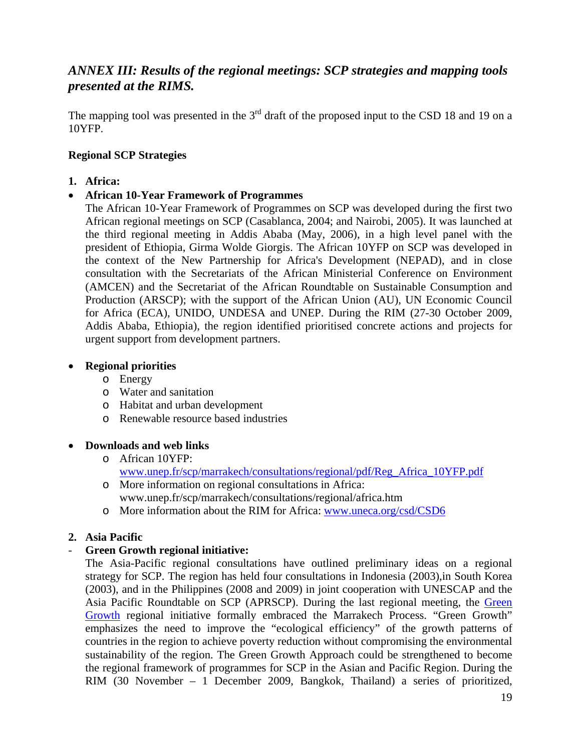## <span id="page-18-0"></span>*ANNEX III: Results of the regional meetings: SCP strategies and mapping tools presented at the RIMS.*

The mapping tool was presented in the  $3<sup>rd</sup>$  draft of the proposed input to the CSD 18 and 19 on a 10YFP.

#### **Regional SCP Strategies**

**1. Africa:** 

#### • **African 10-Year Framework of Programmes**

The African 10-Year Framework of Programmes on SCP was developed during the first two African regional meetings on SCP (Casablanca, 2004; and Nairobi, 2005). It was launched at the third regional meeting in Addis Ababa (May, 2006), in a high level panel with the president of Ethiopia, Girma Wolde Giorgis. The African 10YFP on SCP was developed in the context of the New Partnership for Africa's Development (NEPAD), and in close consultation with the Secretariats of the African Ministerial Conference on Environment (AMCEN) and the Secretariat of the African Roundtable on Sustainable Consumption and Production (ARSCP); with the support of the African Union (AU), UN Economic Council for Africa (ECA), UNIDO, UNDESA and UNEP. During the RIM (27-30 October 2009, Addis Ababa, Ethiopia), the region identified prioritised concrete actions and projects for urgent support from development partners.

#### • **Regional priorities**

- o Energy
- o Water and sanitation
- o Habitat and urban development
- o Renewable resource based industries

#### • **Downloads and web links**

- o African 10YFP:
	- [www.unep.fr/scp/marrakech/consultations/regional/pdf/Reg\\_Africa\\_10YFP.pdf](http://www.unep.fr/scp/marrakech/consultations/regional/pdf/Reg_Africa_10YFP.pdf)
- o More information on regional consultations in Africa: www.unep.fr/scp/marrakech/consultations/regional/africa.htm
- o More information about the RIM for Africa: [www.uneca.org/csd/CSD6](http://www.uneca.org/csd/CSD6)

### **2. Asia Pacific**

#### - **Green Growth regional initiative:**

The Asia-Pacific regional consultations have outlined preliminary ideas on a regional strategy for SCP. The region has held four consultations in Indonesia (2003), in South Korea (2003), and in the Philippines (2008 and 2009) in joint cooperation with UNESCAP and the Asia Pacific Roundtable on SCP (APRSCP). During the last regional meeting, the [Green](http://www.greengrowth.org/)  [Growth](http://www.greengrowth.org/) regional initiative formally embraced the Marrakech Process. "Green Growth" emphasizes the need to improve the "ecological efficiency" of the growth patterns of countries in the region to achieve poverty reduction without compromising the environmental sustainability of the region. The Green Growth Approach could be strengthened to become the regional framework of programmes for SCP in the Asian and Pacific Region. During the RIM (30 November – 1 December 2009, Bangkok, Thailand) a series of prioritized,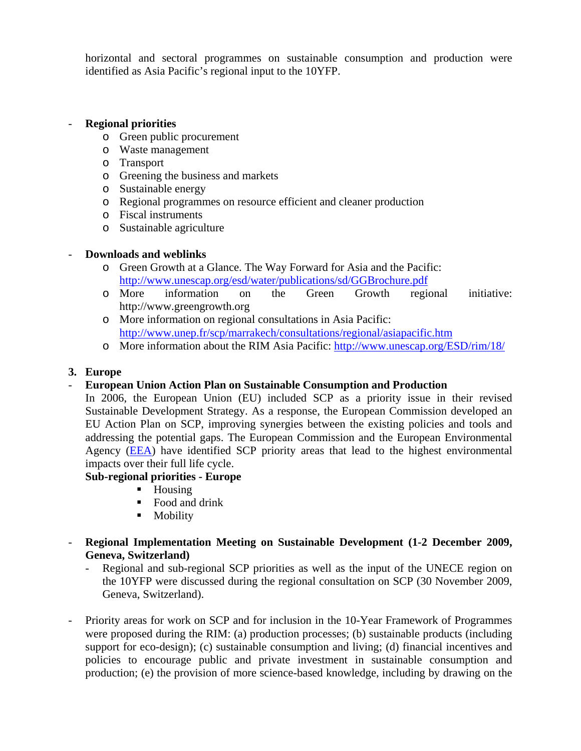horizontal and sectoral programmes on sustainable consumption and production were identified as Asia Pacific's regional input to the 10YFP.

#### - **Regional priorities**

- o Green public procurement
- o Waste management
- o Transport
- o Greening the business and markets
- o Sustainable energy
- o Regional programmes on resource efficient and cleaner production
- o Fiscal instruments
- o Sustainable agriculture

#### - **Downloads and weblinks**

- o Green Growth at a Glance. The Way Forward for Asia and the Pacific: <http://www.unescap.org/esd/water/publications/sd/GGBrochure.pdf>
- o More information on the Green Growth regional initiative: http://www.greengrowth.org
- o More information on regional consultations in Asia Pacific: <http://www.unep.fr/scp/marrakech/consultations/regional/asiapacific.htm>
- o More information about the RIM Asia Pacific:<http://www.unescap.org/ESD/rim/18/>

#### **3. Europe**

- **European Union Action Plan on Sustainable Consumption and Production** 

In 2006, the European Union (EU) included SCP as a priority issue in their revised Sustainable Development Strategy. As a response, the European Commission developed an EU Action Plan on SCP, improving synergies between the existing policies and tools and addressing the potential gaps. The European Commission and the European Environmental Agency ([EEA](http://www.eea.europa.eu/)) have identified SCP priority areas that lead to the highest environmental impacts over their full life cycle.

#### **Sub-regional priorities - Europe**

- **Housing**
- Food and drink
- **Mobility**
- **Regional Implementation Meeting on Sustainable Development (1-2 December 2009, Geneva, Switzerland)** 
	- Regional and sub-regional SCP priorities as well as the input of the UNECE region on the 10YFP were discussed during the regional consultation on SCP (30 November 2009, Geneva, Switzerland).
- Priority areas for work on SCP and for inclusion in the 10-Year Framework of Programmes were proposed during the RIM: (a) production processes; (b) sustainable products (including support for eco-design); (c) sustainable consumption and living; (d) financial incentives and policies to encourage public and private investment in sustainable consumption and production; (e) the provision of more science-based knowledge, including by drawing on the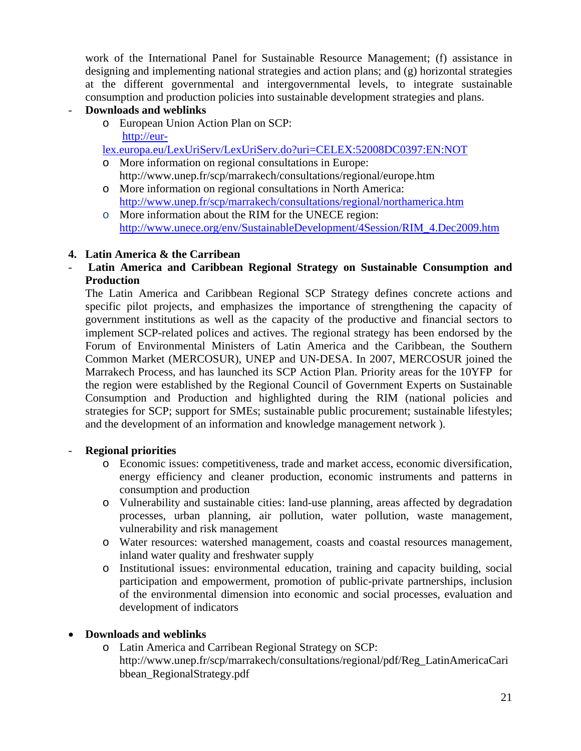work of the International Panel for Sustainable Resource Management; (f) assistance in designing and implementing national strategies and action plans; and (g) horizontal strategies at the different governmental and intergovernmental levels, to integrate sustainable consumption and production policies into sustainable development strategies and plans.

#### - **Downloads and weblinks**

o European Union Action Plan on SCP: [http://eur-](http://eur-lex.europa.eu/LexUriServ/LexUriServ.do?uri=CELEX:52008DC0397:EN:NOT)

[lex.europa.eu/LexUriServ/LexUriServ.do?uri=CELEX:52008DC0397:EN:NOT](http://eur-lex.europa.eu/LexUriServ/LexUriServ.do?uri=CELEX:52008DC0397:EN:NOT)

- o More information on regional consultations in Europe: http://www.unep.fr/scp/marrakech/consultations/regional/europe.htm
- o More information on regional consultations in North America: <http://www.unep.fr/scp/marrakech/consultations/regional/northamerica.htm>
- o More information about the RIM for the UNECE region: [http://www.unece.org/env/SustainableDevelopment/4Session/RIM\\_4.Dec2009.htm](http://www.unece.org/env/SustainableDevelopment/4Session/RIM_4.Dec2009.htm)

#### **4. Latin America & the Carribean**

- **Latin America and Caribbean Regional Strategy on Sustainable Consumption and Production** 

The Latin America and Caribbean Regional SCP Strategy defines concrete actions and specific pilot projects, and emphasizes the importance of strengthening the capacity of government institutions as well as the capacity of the productive and financial sectors to implement SCP-related polices and actives. The regional strategy has been endorsed by the Forum of Environmental Ministers of Latin America and the Caribbean, the Southern Common Market (MERCOSUR), UNEP and UN-DESA. In 2007, MERCOSUR joined the Marrakech Process, and has launched its SCP Action Plan. Priority areas for the 10YFP for the region were established by the Regional Council of Government Experts on Sustainable Consumption and Production and highlighted during the RIM (national policies and strategies for SCP; support for SMEs; sustainable public procurement; sustainable lifestyles; and the development of an information and knowledge management network ).

#### - **Regional priorities**

- o Economic issues: competitiveness, trade and market access, economic diversification, energy efficiency and cleaner production, economic instruments and patterns in consumption and production
- o Vulnerability and sustainable cities: land-use planning, areas affected by degradation processes, urban planning, air pollution, water pollution, waste management, vulnerability and risk management
- o Water resources: watershed management, coasts and coastal resources management, inland water quality and freshwater supply
- o Institutional issues: environmental education, training and capacity building, social participation and empowerment, promotion of public-private partnerships, inclusion of the environmental dimension into economic and social processes, evaluation and development of indicators

#### • **Downloads and weblinks**

o Latin America and Carribean Regional Strategy on SCP: http://www.unep.fr/scp/marrakech/consultations/regional/pdf/Reg\_LatinAmericaCari bbean\_RegionalStrategy.pdf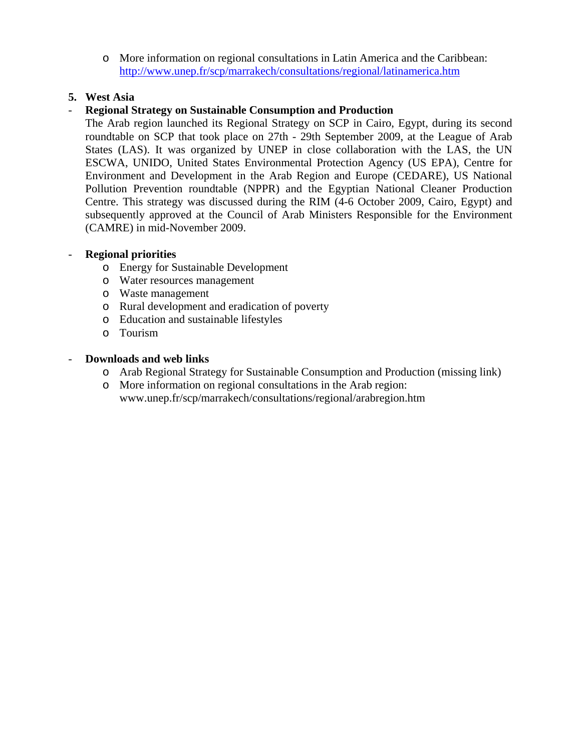o More information on regional consultations in Latin America and the Caribbean: <http://www.unep.fr/scp/marrakech/consultations/regional/latinamerica.htm>

#### **5. West Asia**

### - **Regional Strategy on Sustainable Consumption and Production**

The Arab region launched its Regional Strategy on SCP in Cairo, Egypt, during its second roundtable on SCP that took place on 27th - 29th September 2009, at the League of Arab States (LAS). It was organized by UNEP in close collaboration with the LAS, the UN ESCWA, UNIDO, United States Environmental Protection Agency (US EPA), Centre for Environment and Development in the Arab Region and Europe (CEDARE), US National Pollution Prevention roundtable (NPPR) and the Egyptian National Cleaner Production Centre. This strategy was discussed during the RIM (4-6 October 2009, Cairo, Egypt) and subsequently approved at the Council of Arab Ministers Responsible for the Environment (CAMRE) in mid-November 2009.

#### - **Regional priorities**

- o Energy for Sustainable Development
- o Water resources management
- o Waste management
- o Rural development and eradication of poverty
- o Education and sustainable lifestyles
- o Tourism

#### - **Downloads and web links**

- o Arab Regional Strategy for Sustainable Consumption and Production (missing link)
- o More information on regional consultations in the Arab region: www.unep.fr/scp/marrakech/consultations/regional/arabregion.htm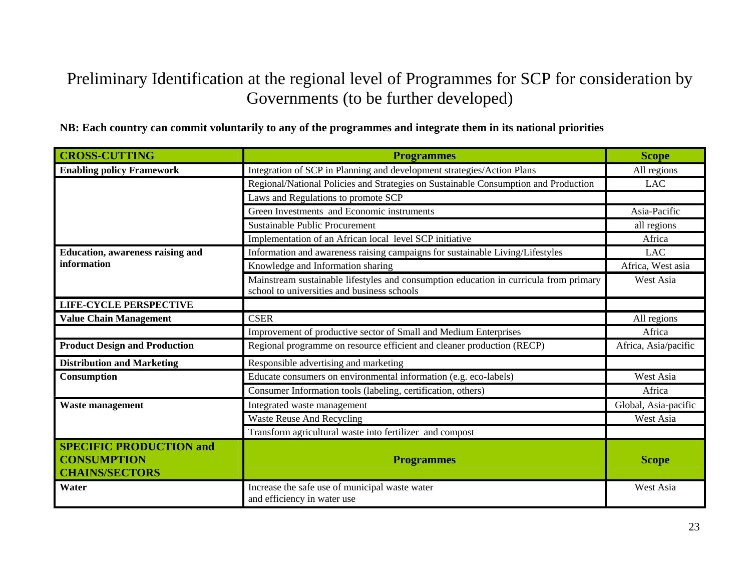# Preliminary Identification at the regional level of Programmes for SCP for consideration by Governments (to be further developed)

**NB: Each country can commit voluntarily to any of the programmes and integrate them in its national priorities** 

| <b>CROSS-CUTTING</b>                                                          | <b>Programmes</b>                                                                                                                    | <b>Scope</b>         |
|-------------------------------------------------------------------------------|--------------------------------------------------------------------------------------------------------------------------------------|----------------------|
| <b>Enabling policy Framework</b>                                              | Integration of SCP in Planning and development strategies/Action Plans                                                               | All regions          |
|                                                                               | Regional/National Policies and Strategies on Sustainable Consumption and Production                                                  | LAC                  |
|                                                                               | Laws and Regulations to promote SCP                                                                                                  |                      |
|                                                                               | Green Investments and Economic instruments                                                                                           | Asia-Pacific         |
|                                                                               | Sustainable Public Procurement                                                                                                       | all regions          |
|                                                                               | Implementation of an African local level SCP initiative                                                                              | Africa               |
| <b>Education, awareness raising and</b>                                       | Information and awareness raising campaigns for sustainable Living/Lifestyles                                                        | <b>LAC</b>           |
| information                                                                   | Knowledge and Information sharing                                                                                                    | Africa, West asia    |
|                                                                               | Mainstream sustainable lifestyles and consumption education in curricula from primary<br>school to universities and business schools | West Asia            |
| <b>LIFE-CYCLE PERSPECTIVE</b>                                                 |                                                                                                                                      |                      |
| <b>Value Chain Management</b>                                                 | <b>CSER</b>                                                                                                                          | All regions          |
|                                                                               | Improvement of productive sector of Small and Medium Enterprises                                                                     | Africa               |
| <b>Product Design and Production</b>                                          | Regional programme on resource efficient and cleaner production (RECP)                                                               | Africa, Asia/pacific |
| <b>Distribution and Marketing</b>                                             | Responsible advertising and marketing                                                                                                |                      |
| Consumption                                                                   | Educate consumers on environmental information (e.g. eco-labels)                                                                     | West Asia            |
|                                                                               | Consumer Information tools (labeling, certification, others)                                                                         | Africa               |
| <b>Waste management</b>                                                       | Integrated waste management                                                                                                          | Global, Asia-pacific |
|                                                                               | <b>Waste Reuse And Recycling</b>                                                                                                     | West Asia            |
|                                                                               | Transform agricultural waste into fertilizer and compost                                                                             |                      |
| <b>SPECIFIC PRODUCTION and</b><br><b>CONSUMPTION</b><br><b>CHAINS/SECTORS</b> | <b>Programmes</b>                                                                                                                    | <b>Scope</b>         |
| Water                                                                         | Increase the safe use of municipal waste water<br>and efficiency in water use                                                        | West Asia            |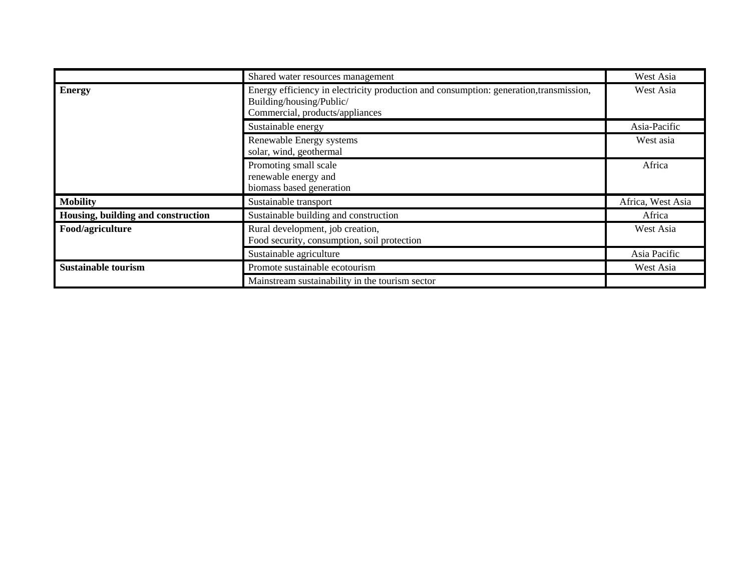|                                    | Shared water resources management                                                                                                                     | West Asia         |
|------------------------------------|-------------------------------------------------------------------------------------------------------------------------------------------------------|-------------------|
| <b>Energy</b>                      | Energy efficiency in electricity production and consumption: generation, transmission,<br>Building/housing/Public/<br>Commercial, products/appliances | West Asia         |
|                                    | Sustainable energy                                                                                                                                    | Asia-Pacific      |
|                                    | Renewable Energy systems<br>solar, wind, geothermal                                                                                                   | West asia         |
|                                    | Promoting small scale<br>renewable energy and<br>biomass based generation                                                                             | Africa            |
| <b>Mobility</b>                    | Sustainable transport                                                                                                                                 | Africa, West Asia |
| Housing, building and construction | Sustainable building and construction                                                                                                                 | Africa            |
| Food/agriculture                   | Rural development, job creation,<br>Food security, consumption, soil protection                                                                       | West Asia         |
|                                    | Sustainable agriculture                                                                                                                               | Asia Pacific      |
| <b>Sustainable tourism</b>         | Promote sustainable ecotourism                                                                                                                        | West Asia         |
|                                    | Mainstream sustainability in the tourism sector                                                                                                       |                   |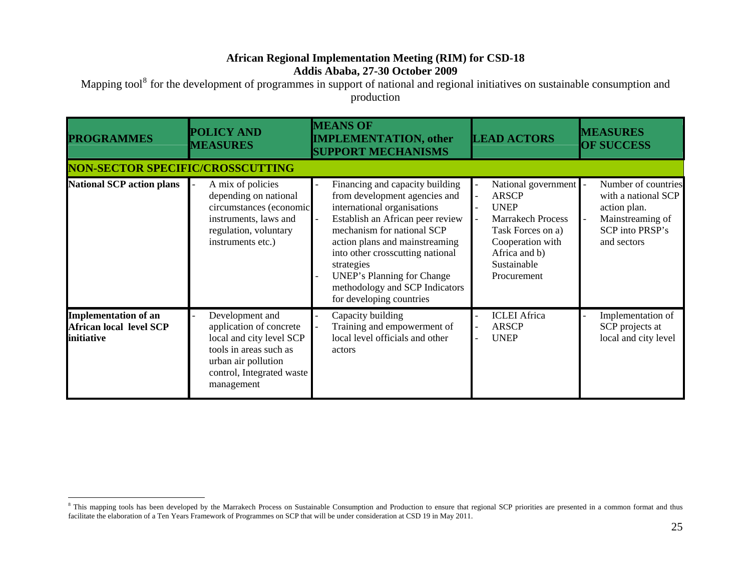#### **African Regional Implementation Meeting (RIM) for CSD-18 Addis Ababa, 27-30 October 2009**

Mapping tool<sup>[8](#page-24-0)</sup> for the development of programmes in support of national and regional initiatives on sustainable consumption and production

| <b>PROGRAMMES</b>                                                           | <b>POLICY AND</b><br><b>MEASURES</b>                                                                                                                               | <b>MEANS OF</b><br><b>IMPLEMENTATION, other</b><br><b>SUPPORT MECHANISMS</b>                                                                                                                                                                                                                                                                      | <b>LEAD ACTORS</b>                                                                                                                                                     | <b>MEASURES</b><br><b>OF SUCCESS</b>                                                                             |
|-----------------------------------------------------------------------------|--------------------------------------------------------------------------------------------------------------------------------------------------------------------|---------------------------------------------------------------------------------------------------------------------------------------------------------------------------------------------------------------------------------------------------------------------------------------------------------------------------------------------------|------------------------------------------------------------------------------------------------------------------------------------------------------------------------|------------------------------------------------------------------------------------------------------------------|
| <b>NON-SECTOR SPECIFIC/CROSSCUTTING</b>                                     |                                                                                                                                                                    |                                                                                                                                                                                                                                                                                                                                                   |                                                                                                                                                                        |                                                                                                                  |
| <b>National SCP action plans</b>                                            | A mix of policies<br>depending on national<br>circumstances (economic<br>instruments, laws and<br>regulation, voluntary<br>instruments etc.)                       | Financing and capacity building<br>from development agencies and<br>international organisations<br>Establish an African peer review<br>mechanism for national SCP<br>action plans and mainstreaming<br>into other crosscutting national<br>strategies<br>UNEP's Planning for Change<br>methodology and SCP Indicators<br>for developing countries | National government<br><b>ARSCP</b><br><b>UNEP</b><br><b>Marrakech Process</b><br>Task Forces on a)<br>Cooperation with<br>Africa and b)<br>Sustainable<br>Procurement | Number of countries<br>with a national SCP<br>action plan.<br>Mainstreaming of<br>SCP into PRSP's<br>and sectors |
| <b>Implementation of an</b><br><b>African local level SCP</b><br>initiative | Development and<br>application of concrete<br>local and city level SCP<br>tools in areas such as<br>urban air pollution<br>control, Integrated waste<br>management | Capacity building<br>Training and empowerment of<br>local level officials and other<br>actors                                                                                                                                                                                                                                                     | <b>ICLEI</b> Africa<br><b>ARSCP</b><br><b>UNEP</b>                                                                                                                     | Implementation of<br>SCP projects at<br>local and city level                                                     |

<span id="page-24-0"></span><sup>&</sup>lt;sup>8</sup> This mapping tools has been developed by the Marrakech Process on Sustainable Consumption and Production to ensure that regional SCP priorities are presented in a common format and thus facilitate the elaboration of a Ten Years Framework of Programmes on SCP that will be under consideration at CSD 19 in May 2011.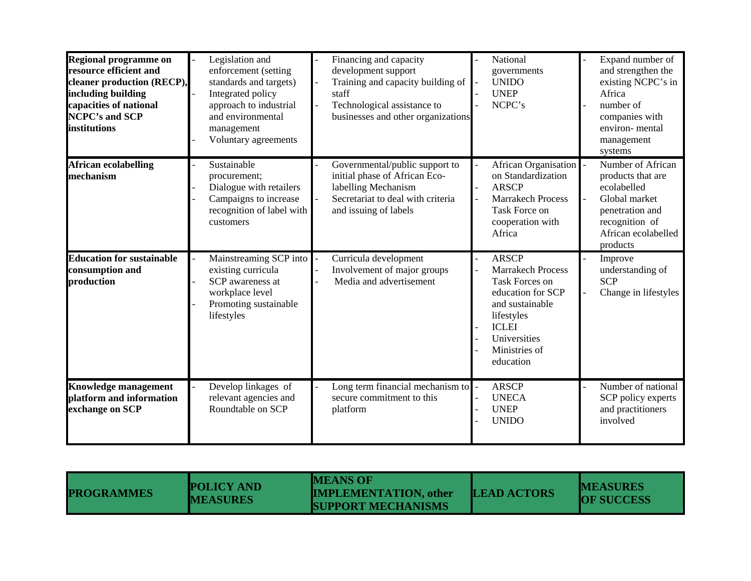| Regional programme on<br>resource efficient and<br>cleaner production (RECP),<br>including building<br>capacities of national<br><b>NCPC's and SCP</b><br>institutions | Legislation and<br>enforcement (setting<br>standards and targets)<br>Integrated policy<br>approach to industrial<br>and environmental<br>management<br>Voluntary agreements | Financing and capacity<br>development support<br>Training and capacity building of<br>staff<br>Technological assistance to<br>businesses and other organizations | National<br>governments<br><b>UNIDO</b><br><b>UNEP</b><br>NCPC's                                                                                                               | Expand number of<br>and strengthen the<br>existing NCPC's in<br>Africa<br>number of<br>companies with<br>environ-mental<br>management<br>systems |
|------------------------------------------------------------------------------------------------------------------------------------------------------------------------|-----------------------------------------------------------------------------------------------------------------------------------------------------------------------------|------------------------------------------------------------------------------------------------------------------------------------------------------------------|--------------------------------------------------------------------------------------------------------------------------------------------------------------------------------|--------------------------------------------------------------------------------------------------------------------------------------------------|
| African ecolabelling<br>mechanism                                                                                                                                      | Sustainable<br>procurement;<br>Dialogue with retailers<br>Campaigns to increase<br>recognition of label with<br>customers                                                   | Governmental/public support to<br>initial phase of African Eco-<br>labelling Mechanism<br>Secretariat to deal with criteria<br>and issuing of labels             | African Organisation<br>on Standardization<br><b>ARSCP</b><br><b>Marrakech Process</b><br>Task Force on<br>cooperation with<br>Africa                                          | Number of African<br>products that are<br>ecolabelled<br>Global market<br>penetration and<br>recognition of<br>African ecolabelled<br>products   |
| <b>Education for sustainable</b><br>consumption and<br>production                                                                                                      | Mainstreaming SCP into<br>existing curricula<br>SCP awareness at<br>workplace level<br>Promoting sustainable<br>lifestyles                                                  | Curricula development<br>Involvement of major groups<br>Media and advertisement                                                                                  | <b>ARSCP</b><br><b>Marrakech Process</b><br>Task Forces on<br>education for SCP<br>and sustainable<br>lifestyles<br><b>ICLEI</b><br>Universities<br>Ministries of<br>education | Improve<br>understanding of<br><b>SCP</b><br>Change in lifestyles                                                                                |
| Knowledge management<br>platform and information<br>exchange on SCP                                                                                                    | Develop linkages of<br>relevant agencies and<br>Roundtable on SCP                                                                                                           | Long term financial mechanism to<br>secure commitment to this<br>platform                                                                                        | <b>ARSCP</b><br><b>UNECA</b><br><b>UNEP</b><br><b>UNIDO</b>                                                                                                                    | Number of national<br>SCP policy experts<br>and practitioners<br>involved                                                                        |

| <b>PROGRAMMES</b> | <b>POLICY AND</b><br><b>MEASURES</b> | <b>IMEANS OF</b><br><b>IMPLEMENTATION, other</b><br><b>SUPPORT MECHANISMS</b> | <b>LEAD ACTORS</b> | <b>IMEASURES</b><br><b>OF SUCCESS</b> |
|-------------------|--------------------------------------|-------------------------------------------------------------------------------|--------------------|---------------------------------------|
|-------------------|--------------------------------------|-------------------------------------------------------------------------------|--------------------|---------------------------------------|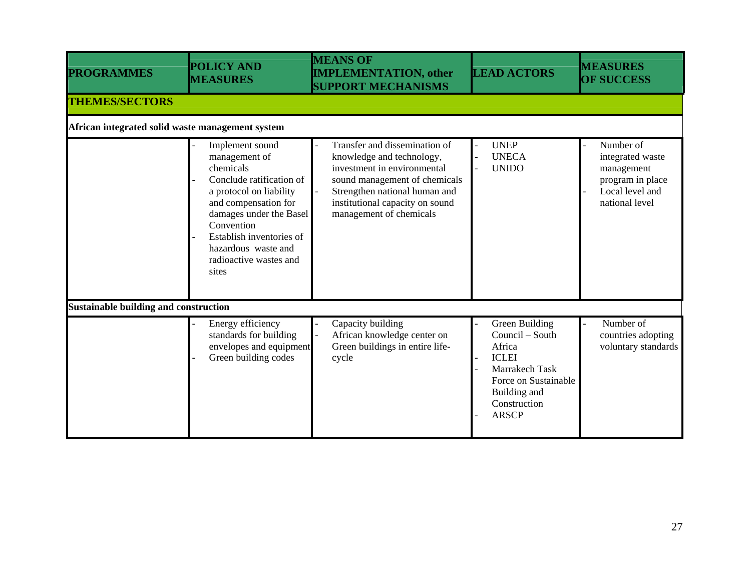| <b>PROGRAMMES</b>                                | <b>POLICY AND</b><br><b>MEASURES</b>                                                                                                                                                                                                                        | <b>MEANS OF</b><br><b>IMPLEMENTATION, other</b><br><b>SUPPORT MECHANISMS</b>                                                                                                                                              | <b>LEAD ACTORS</b>                                                                                                                                           | <b>MEASURES</b><br><b>OF SUCCESS</b>                                                                 |
|--------------------------------------------------|-------------------------------------------------------------------------------------------------------------------------------------------------------------------------------------------------------------------------------------------------------------|---------------------------------------------------------------------------------------------------------------------------------------------------------------------------------------------------------------------------|--------------------------------------------------------------------------------------------------------------------------------------------------------------|------------------------------------------------------------------------------------------------------|
| <b>THEMES/SECTORS</b>                            |                                                                                                                                                                                                                                                             |                                                                                                                                                                                                                           |                                                                                                                                                              |                                                                                                      |
| African integrated solid waste management system |                                                                                                                                                                                                                                                             |                                                                                                                                                                                                                           |                                                                                                                                                              |                                                                                                      |
|                                                  | Implement sound<br>management of<br>chemicals<br>Conclude ratification of<br>a protocol on liability<br>and compensation for<br>damages under the Basel<br>Convention<br>Establish inventories of<br>hazardous waste and<br>radioactive wastes and<br>sites | Transfer and dissemination of<br>knowledge and technology,<br>investment in environmental<br>sound management of chemicals<br>Strengthen national human and<br>institutional capacity on sound<br>management of chemicals | <b>UNEP</b><br><b>UNECA</b><br><b>UNIDO</b>                                                                                                                  | Number of<br>integrated waste<br>management<br>program in place<br>Local level and<br>national level |
| <b>Sustainable building and construction</b>     |                                                                                                                                                                                                                                                             |                                                                                                                                                                                                                           |                                                                                                                                                              |                                                                                                      |
|                                                  | Energy efficiency<br>standards for building<br>envelopes and equipment<br>Green building codes                                                                                                                                                              | Capacity building<br>African knowledge center on<br>Green buildings in entire life-<br>cycle                                                                                                                              | Green Building<br>Council – South<br>Africa<br><b>ICLEI</b><br><b>Marrakech Task</b><br>Force on Sustainable<br>Building and<br>Construction<br><b>ARSCP</b> | Number of<br>countries adopting<br>voluntary standards                                               |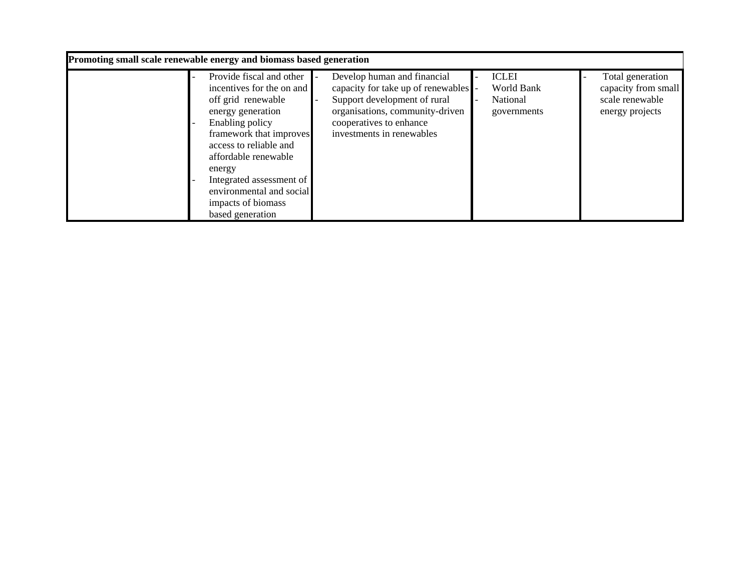| Promoting small scale renewable energy and biomass based generation |                                                                                                                                                                                                                                                                                                              |                                                                                                                                                                                                |                                                       |                                                                               |  |
|---------------------------------------------------------------------|--------------------------------------------------------------------------------------------------------------------------------------------------------------------------------------------------------------------------------------------------------------------------------------------------------------|------------------------------------------------------------------------------------------------------------------------------------------------------------------------------------------------|-------------------------------------------------------|-------------------------------------------------------------------------------|--|
|                                                                     | Provide fiscal and other<br>incentives for the on and<br>off grid renewable<br>energy generation<br>Enabling policy<br>framework that improves<br>access to reliable and<br>affordable renewable<br>energy<br>Integrated assessment of<br>environmental and social<br>impacts of biomass<br>based generation | Develop human and financial<br>capacity for take up of renewables -<br>Support development of rural<br>organisations, community-driven<br>cooperatives to enhance<br>investments in renewables | <b>ICLEI</b><br>World Bank<br>National<br>governments | Total generation<br>capacity from small<br>scale renewable<br>energy projects |  |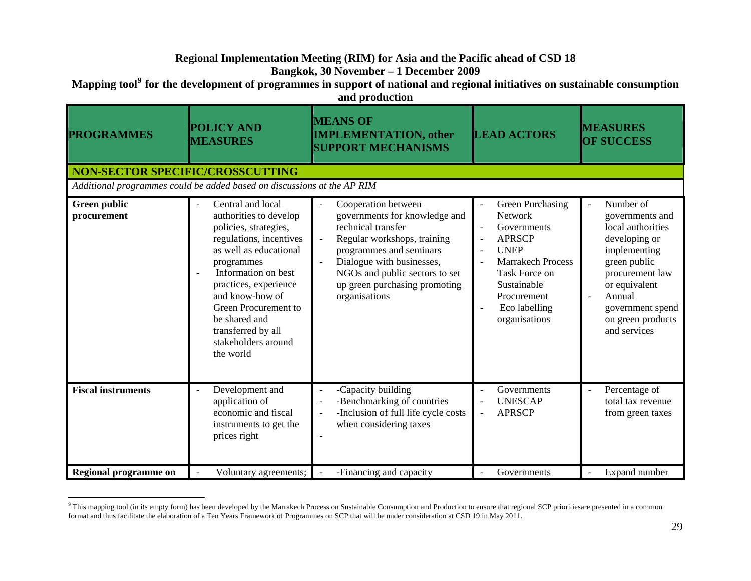#### **Regional Implementation Meeting (RIM) for Asia and the Pacific ahead of CSD 18 Bangkok, 30 November – 1 December 2009**

**Mapping tool[9](#page-28-0) for the development of programmes in support of national and regional initiatives on sustainable consumption and production** 

|                                         |                                                                                                                                                                                                                                                                                                                                           | wax pa owners on                                                                                                                                                                                                                                      |                                                                                                                                                                                                                                                                                                              |                                                                                                                                                                                                           |
|-----------------------------------------|-------------------------------------------------------------------------------------------------------------------------------------------------------------------------------------------------------------------------------------------------------------------------------------------------------------------------------------------|-------------------------------------------------------------------------------------------------------------------------------------------------------------------------------------------------------------------------------------------------------|--------------------------------------------------------------------------------------------------------------------------------------------------------------------------------------------------------------------------------------------------------------------------------------------------------------|-----------------------------------------------------------------------------------------------------------------------------------------------------------------------------------------------------------|
| <b>PROGRAMMES</b>                       | <b>POLICY AND</b><br><b>MEASURES</b>                                                                                                                                                                                                                                                                                                      | <b>MEANS OF</b><br><b>IMPLEMENTATION, other</b><br><b>SUPPORT MECHANISMS</b>                                                                                                                                                                          | <b>LEAD ACTORS</b>                                                                                                                                                                                                                                                                                           | <b>MEASURES</b><br><b>OF SUCCESS</b>                                                                                                                                                                      |
| <b>NON-SECTOR SPECIFIC/CROSSCUTTING</b> |                                                                                                                                                                                                                                                                                                                                           |                                                                                                                                                                                                                                                       |                                                                                                                                                                                                                                                                                                              |                                                                                                                                                                                                           |
|                                         | Additional programmes could be added based on discussions at the AP RIM                                                                                                                                                                                                                                                                   |                                                                                                                                                                                                                                                       |                                                                                                                                                                                                                                                                                                              |                                                                                                                                                                                                           |
| <b>Green public</b><br>procurement      | Central and local<br>authorities to develop<br>policies, strategies,<br>regulations, incentives<br>as well as educational<br>programmes<br>Information on best<br>$\overline{\phantom{a}}$<br>practices, experience<br>and know-how of<br>Green Procurement to<br>be shared and<br>transferred by all<br>stakeholders around<br>the world | Cooperation between<br>governments for knowledge and<br>technical transfer<br>Regular workshops, training<br>programmes and seminars<br>Dialogue with businesses,<br>NGOs and public sectors to set<br>up green purchasing promoting<br>organisations | Green Purchasing<br>$\blacksquare$<br><b>Network</b><br>Governments<br><b>APRSCP</b><br>$\overline{\phantom{a}}$<br><b>UNEP</b><br>$\overline{a}$<br><b>Marrakech Process</b><br>$\overline{a}$<br>Task Force on<br>Sustainable<br>Procurement<br>Eco labelling<br>$\overline{\phantom{a}}$<br>organisations | Number of<br>governments and<br>local authorities<br>developing or<br>implementing<br>green public<br>procurement law<br>or equivalent<br>Annual<br>government spend<br>on green products<br>and services |
| <b>Fiscal instruments</b>               | Development and<br>application of<br>economic and fiscal<br>instruments to get the<br>prices right                                                                                                                                                                                                                                        | -Capacity building<br>-Benchmarking of countries<br>-Inclusion of full life cycle costs<br>when considering taxes                                                                                                                                     | Governments<br>$\overline{\phantom{a}}$<br><b>UNESCAP</b><br>$\blacksquare$<br><b>APRSCP</b><br>$\overline{a}$                                                                                                                                                                                               | Percentage of<br>total tax revenue<br>from green taxes                                                                                                                                                    |
| Regional programme on                   | Voluntary agreements;                                                                                                                                                                                                                                                                                                                     | -Financing and capacity                                                                                                                                                                                                                               | Governments                                                                                                                                                                                                                                                                                                  | Expand number                                                                                                                                                                                             |

<span id="page-28-0"></span><sup>&</sup>lt;sup>9</sup> This mapping tool (in its empty form) has been developed by the Marrakech Process on Sustainable Consumption and Production to ensure that regional SCP prioritiesare presented in a common format and thus facilitate the elaboration of a Ten Years Framework of Programmes on SCP that will be under consideration at CSD 19 in May 2011.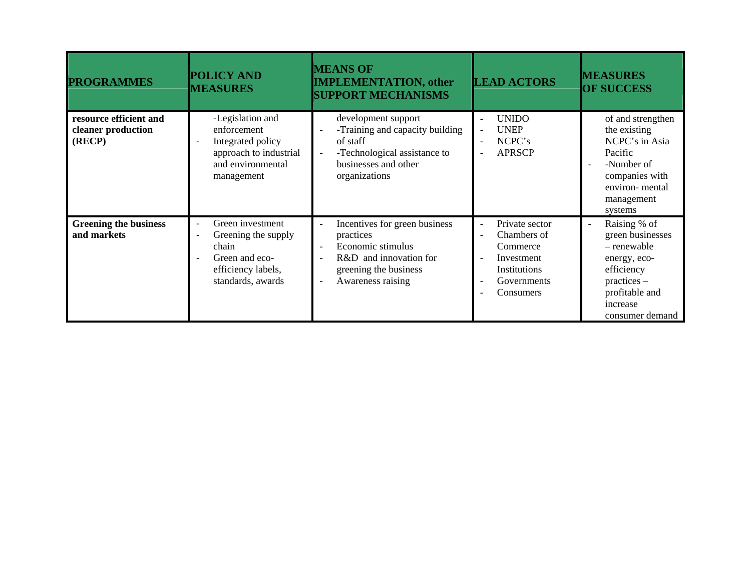| <b>PROGRAMMES</b>                                      | <b>POLICY AND</b><br><b>MEASURES</b>                                                                                                      | <b>MEANS OF</b><br><b>IMPLEMENTATION, other</b><br><b>SUPPORT MECHANISMS</b>                                                                | <b>LEAD ACTORS</b>                                                                                                                                                                                     | <b>MEASURES</b><br><b>OF SUCCESS</b>                                                                                                                                      |
|--------------------------------------------------------|-------------------------------------------------------------------------------------------------------------------------------------------|---------------------------------------------------------------------------------------------------------------------------------------------|--------------------------------------------------------------------------------------------------------------------------------------------------------------------------------------------------------|---------------------------------------------------------------------------------------------------------------------------------------------------------------------------|
| resource efficient and<br>cleaner production<br>(RECP) | -Legislation and<br>enforcement<br>Integrated policy<br>approach to industrial<br>and environmental<br>management                         | development support<br>-Training and capacity building<br>of staff<br>-Technological assistance to<br>businesses and other<br>organizations | <b>UNIDO</b><br><b>UNEP</b><br>NCPC's<br><b>APRSCP</b><br>$\overline{\phantom{a}}$                                                                                                                     | of and strengthen<br>the existing<br>NCPC's in Asia<br>Pacific<br>-Number of<br>companies with<br>environ-mental<br>management<br>systems                                 |
| <b>Greening the business</b><br>and markets            | Green investment<br>$\overline{\phantom{0}}$<br>Greening the supply<br>chain<br>Green and eco-<br>efficiency labels,<br>standards, awards | Incentives for green business<br>practices<br>Economic stimulus<br>R&D and innovation for<br>greening the business<br>Awareness raising     | Private sector<br>$\blacksquare$<br>Chambers of<br>$\overline{\phantom{a}}$<br>Commerce<br>Investment<br>$\blacksquare$<br><b>Institutions</b><br>Governments<br>$\overline{\phantom{a}}$<br>Consumers | Raising % of<br>$\overline{\phantom{a}}$<br>green businesses<br>- renewable<br>energy, eco-<br>efficiency<br>practices –<br>profitable and<br>increase<br>consumer demand |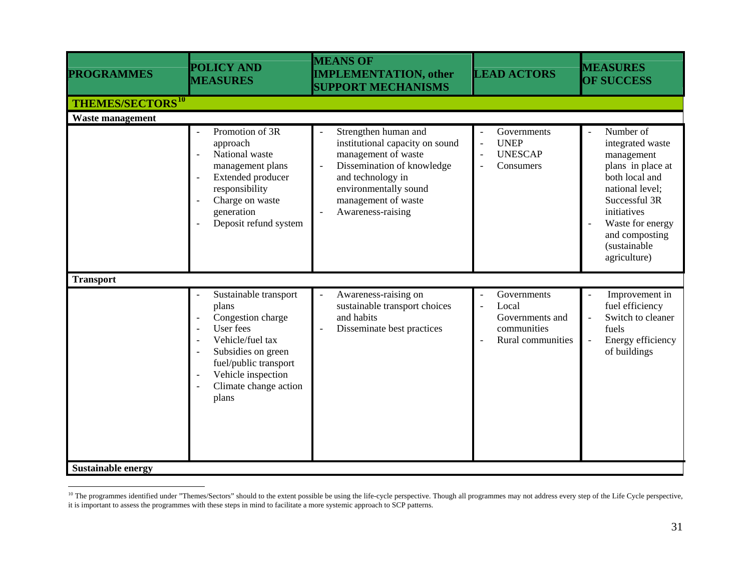| <b>PROGRAMMES</b>                  | <b>POLICY AND</b><br><b>MEASURES</b>                                                                                                                                                        | <b>MEANS OF</b><br><b>IMPLEMENTATION</b> , other<br><b>SUPPORT MECHANISMS</b>                                                                                                                                            | <b>LEAD ACTORS</b>                                                                            | <b>MEASURES</b><br><b>OF SUCCESS</b>                                                                                                                                                                        |
|------------------------------------|---------------------------------------------------------------------------------------------------------------------------------------------------------------------------------------------|--------------------------------------------------------------------------------------------------------------------------------------------------------------------------------------------------------------------------|-----------------------------------------------------------------------------------------------|-------------------------------------------------------------------------------------------------------------------------------------------------------------------------------------------------------------|
| <b>THEMES/SECTORS<sup>10</sup></b> |                                                                                                                                                                                             |                                                                                                                                                                                                                          |                                                                                               |                                                                                                                                                                                                             |
| Waste management                   | Promotion of 3R<br>approach<br>National waste<br>management plans<br>Extended producer<br>$\overline{a}$<br>responsibility<br>Charge on waste<br>generation<br>Deposit refund system        | Strengthen human and<br>institutional capacity on sound<br>management of waste<br>Dissemination of knowledge<br>$\overline{a}$<br>and technology in<br>environmentally sound<br>management of waste<br>Awareness-raising | Governments<br><b>UNEP</b><br>$\overline{a}$<br><b>UNESCAP</b><br>Consumers                   | Number of<br>integrated waste<br>management<br>plans in place at<br>both local and<br>national level;<br>Successful 3R<br>initiatives<br>Waste for energy<br>and composting<br>(sustainable<br>agriculture) |
| <b>Transport</b>                   |                                                                                                                                                                                             |                                                                                                                                                                                                                          |                                                                                               |                                                                                                                                                                                                             |
|                                    | Sustainable transport<br>plans<br>Congestion charge<br>User fees<br>Vehicle/fuel tax<br>Subsidies on green<br>fuel/public transport<br>Vehicle inspection<br>Climate change action<br>plans | Awareness-raising on<br>sustainable transport choices<br>and habits<br>Disseminate best practices                                                                                                                        | Governments<br>Local<br>$\overline{a}$<br>Governments and<br>communities<br>Rural communities | Improvement in<br>fuel efficiency<br>Switch to cleaner<br>fuels<br>Energy efficiency<br>of buildings                                                                                                        |
| <b>Sustainable energy</b>          |                                                                                                                                                                                             |                                                                                                                                                                                                                          |                                                                                               |                                                                                                                                                                                                             |

<span id="page-30-0"></span><sup>&</sup>lt;sup>10</sup> The programmes identified under "Themes/Sectors" should to the extent possible be using the life-cycle perspective. Though all programmes may not address every step of the Life Cycle perspective, it is important to assess the programmes with these steps in mind to facilitate a more systemic approach to SCP patterns.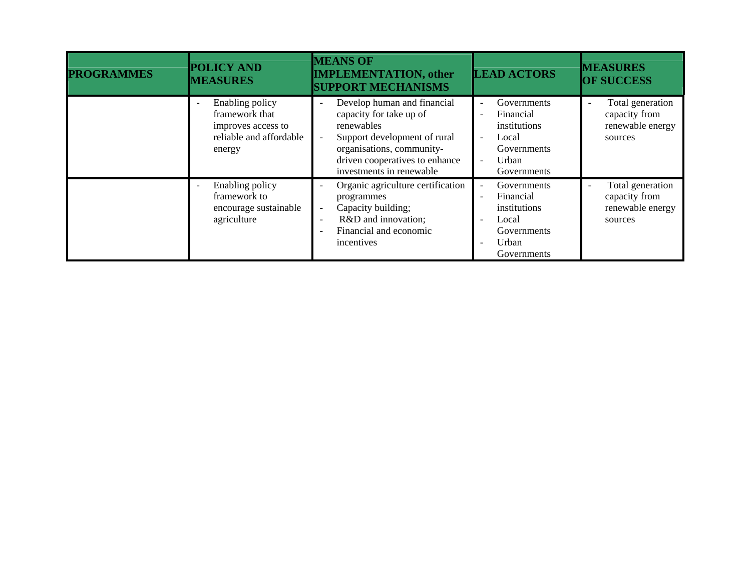| <b>PROGRAMMES</b> | <b>POLICY AND</b><br><b>MEASURES</b>                                                         | <b>MEANS OF</b><br><b>IMPLEMENTATION</b> , other<br><b>SUPPORT MECHANISMS</b>                                                                                                                   | <b>LEAD ACTORS</b>                                                                                                                    | <b>MEASURES</b><br><b>OF SUCCESS</b>                             |
|-------------------|----------------------------------------------------------------------------------------------|-------------------------------------------------------------------------------------------------------------------------------------------------------------------------------------------------|---------------------------------------------------------------------------------------------------------------------------------------|------------------------------------------------------------------|
|                   | Enabling policy<br>framework that<br>improves access to<br>reliable and affordable<br>energy | Develop human and financial<br>capacity for take up of<br>renewables<br>Support development of rural<br>organisations, community-<br>driven cooperatives to enhance<br>investments in renewable | Governments<br>$\overline{\phantom{a}}$<br>Financial<br><i>institutions</i><br>Local<br>Governments<br>Urban<br>$\sim$<br>Governments | Total generation<br>capacity from<br>renewable energy<br>sources |
|                   | Enabling policy<br>framework to<br>encourage sustainable<br>agriculture                      | Organic agriculture certification<br>programmes<br>Capacity building;<br>R&D and innovation;<br>Financial and economic<br>incentives                                                            | Governments<br>$\blacksquare$<br>Financial<br>institutions<br>Local<br>Governments<br>Urban<br>Governments                            | Total generation<br>capacity from<br>renewable energy<br>sources |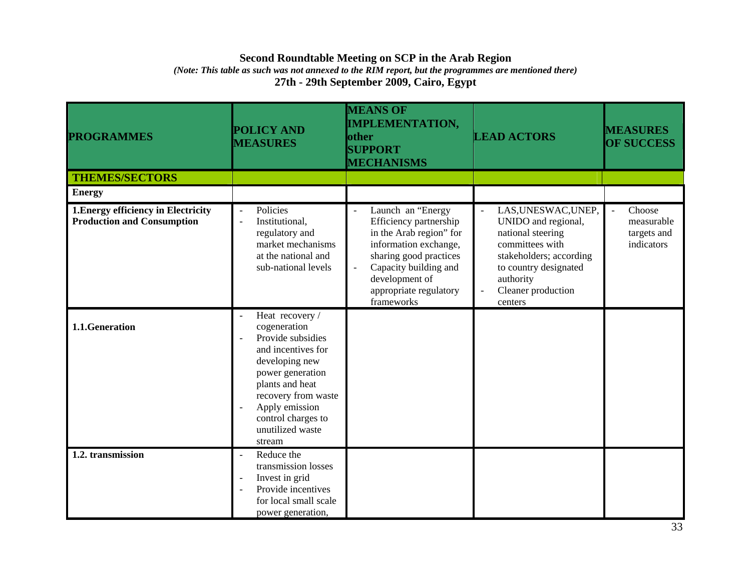#### **Second Roundtable Meeting on SCP in the Arab Region**  *(Note: This table as such was not annexed to the RIM report, but the programmes are mentioned there)*  **27th - 29th September 2009, Cairo, Egypt**

| <b>PROGRAMMES</b>                                                        | <b>POLICY AND</b><br><b>MEASURES</b>                                                                                                                                                                                                                                                   | <b>MEANS OF</b><br><b>IMPLEMENTATION,</b><br>other<br><b>SUPPORT</b><br><b>MECHANISMS</b>                                                                                                                    | <b>LEAD ACTORS</b>                                                                                                                                                                                     | <b>MEASURES</b><br><b>OF SUCCESS</b>              |
|--------------------------------------------------------------------------|----------------------------------------------------------------------------------------------------------------------------------------------------------------------------------------------------------------------------------------------------------------------------------------|--------------------------------------------------------------------------------------------------------------------------------------------------------------------------------------------------------------|--------------------------------------------------------------------------------------------------------------------------------------------------------------------------------------------------------|---------------------------------------------------|
| <b>THEMES/SECTORS</b>                                                    |                                                                                                                                                                                                                                                                                        |                                                                                                                                                                                                              |                                                                                                                                                                                                        |                                                   |
| <b>Energy</b>                                                            |                                                                                                                                                                                                                                                                                        |                                                                                                                                                                                                              |                                                                                                                                                                                                        |                                                   |
| 1. Energy efficiency in Electricity<br><b>Production and Consumption</b> | Policies<br>Institutional,<br>$\bar{\phantom{a}}$<br>regulatory and<br>market mechanisms<br>at the national and<br>sub-national levels                                                                                                                                                 | Launch an "Energy<br>Efficiency partnership<br>in the Arab region" for<br>information exchange,<br>sharing good practices<br>Capacity building and<br>development of<br>appropriate regulatory<br>frameworks | LAS, UNESWAC, UNEP,<br>$\overline{a}$<br>UNIDO and regional,<br>national steering<br>committees with<br>stakeholders; according<br>to country designated<br>authority<br>Cleaner production<br>centers | Choose<br>measurable<br>targets and<br>indicators |
| 1.1.Generation                                                           | Heat recovery /<br>$\overline{a}$<br>cogeneration<br>Provide subsidies<br>$\overline{a}$<br>and incentives for<br>developing new<br>power generation<br>plants and heat<br>recovery from waste<br>Apply emission<br>$\overline{a}$<br>control charges to<br>unutilized waste<br>stream |                                                                                                                                                                                                              |                                                                                                                                                                                                        |                                                   |
| 1.2. transmission                                                        | Reduce the<br>transmission losses<br>Invest in grid<br>$\overline{\phantom{0}}$<br>Provide incentives<br>$\overline{\phantom{0}}$<br>for local small scale<br>power generation,                                                                                                        |                                                                                                                                                                                                              |                                                                                                                                                                                                        |                                                   |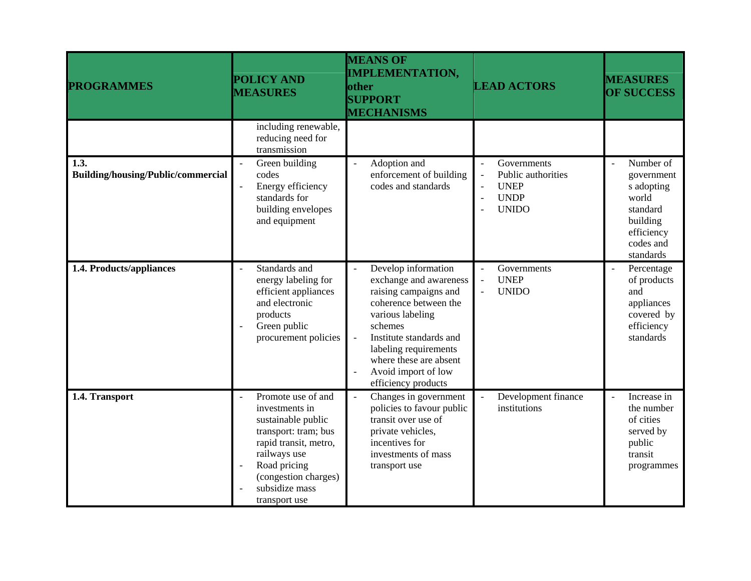| <b>PROGRAMMES</b>                          | <b>POLICY AND</b><br><b>MEASURES</b>                                                                                                                                                                   | <b>MEANS OF</b><br><b>IMPLEMENTATION,</b><br><b>other</b><br><b>SUPPORT</b><br><b>MECHANISMS</b>                                                                                                                                                           | <b>LEAD ACTORS</b>                                                                                                                                                          | <b>MEASURES</b><br><b>OF SUCCESS</b>                                                                                             |
|--------------------------------------------|--------------------------------------------------------------------------------------------------------------------------------------------------------------------------------------------------------|------------------------------------------------------------------------------------------------------------------------------------------------------------------------------------------------------------------------------------------------------------|-----------------------------------------------------------------------------------------------------------------------------------------------------------------------------|----------------------------------------------------------------------------------------------------------------------------------|
|                                            | including renewable,<br>reducing need for<br>transmission                                                                                                                                              |                                                                                                                                                                                                                                                            |                                                                                                                                                                             |                                                                                                                                  |
| 1.3.<br>Building/housing/Public/commercial | Green building<br>codes<br>Energy efficiency<br>standards for<br>building envelopes<br>and equipment                                                                                                   | Adoption and<br>$\blacksquare$<br>enforcement of building<br>codes and standards                                                                                                                                                                           | Governments<br>$\blacksquare$<br>Public authorities<br>$\overline{\phantom{m}}$<br><b>UNEP</b><br>$\overline{\phantom{a}}$<br><b>UNDP</b><br>$\overline{a}$<br><b>UNIDO</b> | Number of<br>$\overline{a}$<br>government<br>s adopting<br>world<br>standard<br>building<br>efficiency<br>codes and<br>standards |
| 1.4. Products/appliances                   | Standards and<br>energy labeling for<br>efficient appliances<br>and electronic<br>products<br>Green public<br>procurement policies                                                                     | Develop information<br>exchange and awareness<br>raising campaigns and<br>coherence between the<br>various labeling<br>schemes<br>Institute standards and<br>labeling requirements<br>where these are absent<br>Avoid import of low<br>efficiency products | Governments<br>$\overline{\phantom{a}}$<br><b>UNEP</b><br>$\overline{\phantom{a}}$<br><b>UNIDO</b><br>$\overline{\phantom{a}}$                                              | Percentage<br>of products<br>and<br>appliances<br>covered by<br>efficiency<br>standards                                          |
| 1.4. Transport                             | Promote use of and<br>investments in<br>sustainable public<br>transport: tram; bus<br>rapid transit, metro,<br>railways use<br>Road pricing<br>(congestion charges)<br>subsidize mass<br>transport use | Changes in government<br>policies to favour public<br>transit over use of<br>private vehicles,<br>incentives for<br>investments of mass<br>transport use                                                                                                   | Development finance<br>$\overline{\phantom{a}}$<br>institutions                                                                                                             | Increase in<br>$\blacksquare$<br>the number<br>of cities<br>served by<br>public<br>transit<br>programmes                         |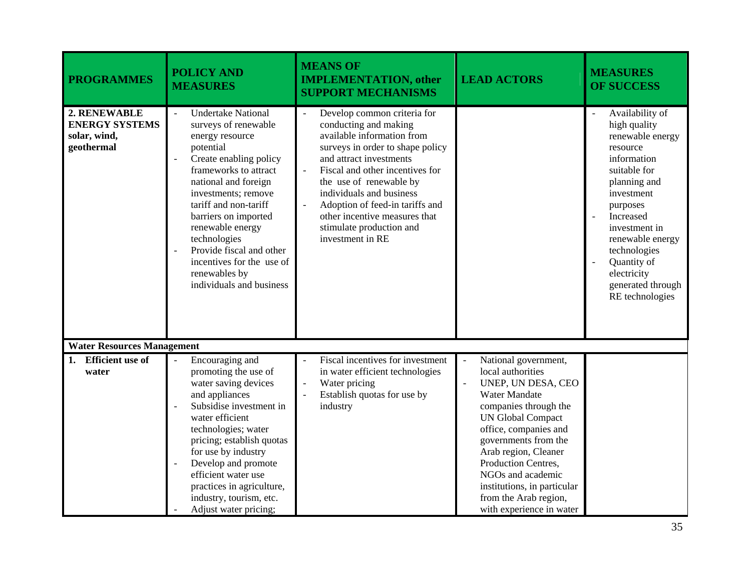| <b>PROGRAMMES</b>                                                   | <b>POLICY AND</b><br><b>MEASURES</b>                                                                                                                                                                                                                                                                                                                                           | <b>MEANS OF</b><br><b>IMPLEMENTATION</b> , other<br><b>SUPPORT MECHANISMS</b>                                                                                                                                                                                                                                                                                                                               | <b>LEAD ACTORS</b>                                                                                                                                                                                                                                                                                                                                                       | <b>MEASURES</b><br><b>OF SUCCESS</b>                                                                                                                                                                                                                                             |
|---------------------------------------------------------------------|--------------------------------------------------------------------------------------------------------------------------------------------------------------------------------------------------------------------------------------------------------------------------------------------------------------------------------------------------------------------------------|-------------------------------------------------------------------------------------------------------------------------------------------------------------------------------------------------------------------------------------------------------------------------------------------------------------------------------------------------------------------------------------------------------------|--------------------------------------------------------------------------------------------------------------------------------------------------------------------------------------------------------------------------------------------------------------------------------------------------------------------------------------------------------------------------|----------------------------------------------------------------------------------------------------------------------------------------------------------------------------------------------------------------------------------------------------------------------------------|
| 2. RENEWABLE<br><b>ENERGY SYSTEMS</b><br>solar, wind,<br>geothermal | <b>Undertake National</b><br>surveys of renewable<br>energy resource<br>potential<br>Create enabling policy<br>frameworks to attract<br>national and foreign<br>investments; remove<br>tariff and non-tariff<br>barriers on imported<br>renewable energy<br>technologies<br>Provide fiscal and other<br>incentives for the use of<br>renewables by<br>individuals and business | Develop common criteria for<br>$\blacksquare$<br>conducting and making<br>available information from<br>surveys in order to shape policy<br>and attract investments<br>Fiscal and other incentives for<br>$\mathbb{L}$<br>the use of renewable by<br>individuals and business<br>Adoption of feed-in tariffs and<br>$\Box$<br>other incentive measures that<br>stimulate production and<br>investment in RE |                                                                                                                                                                                                                                                                                                                                                                          | Availability of<br>high quality<br>renewable energy<br>resource<br>information<br>suitable for<br>planning and<br>investment<br>purposes<br>Increased<br>investment in<br>renewable energy<br>technologies<br>Quantity of<br>electricity<br>generated through<br>RE technologies |
| <b>Water Resources Management</b>                                   |                                                                                                                                                                                                                                                                                                                                                                                |                                                                                                                                                                                                                                                                                                                                                                                                             |                                                                                                                                                                                                                                                                                                                                                                          |                                                                                                                                                                                                                                                                                  |
| <b>Efficient</b> use of<br>1.<br>water                              | Encouraging and<br>promoting the use of<br>water saving devices<br>and appliances<br>Subsidise investment in<br>water efficient<br>technologies; water<br>pricing; establish quotas<br>for use by industry<br>Develop and promote<br>$\overline{a}$<br>efficient water use<br>practices in agriculture,<br>industry, tourism, etc.<br>Adjust water pricing;                    | Fiscal incentives for investment<br>in water efficient technologies<br>Water pricing<br>$\blacksquare$<br>Establish quotas for use by<br>$\sim$<br>industry                                                                                                                                                                                                                                                 | National government,<br>$\mathbb{L}$<br>local authorities<br>UNEP, UN DESA, CEO<br>$\Box$<br>Water Mandate<br>companies through the<br><b>UN Global Compact</b><br>office, companies and<br>governments from the<br>Arab region, Cleaner<br>Production Centres,<br>NGOs and academic<br>institutions, in particular<br>from the Arab region,<br>with experience in water |                                                                                                                                                                                                                                                                                  |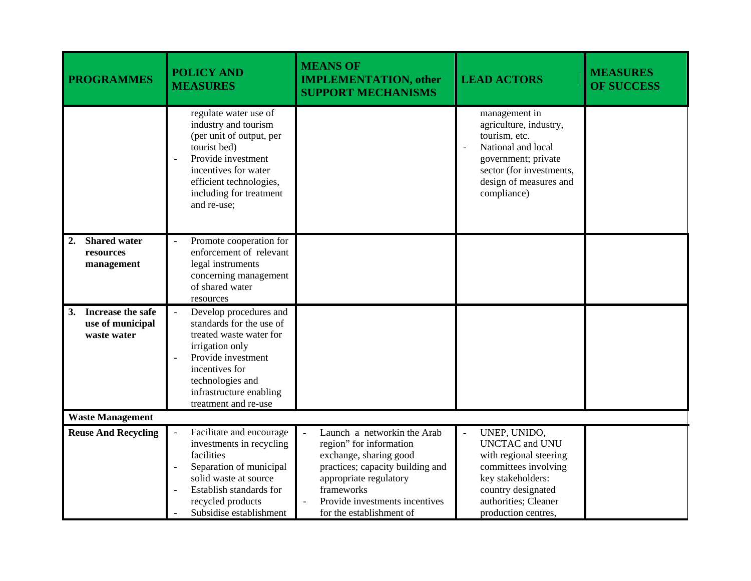| <b>POLICY AND</b><br><b>PROGRAMMES</b><br><b>MEASURES</b>  |                                                                                                                                                                                                                 | <b>MEANS OF</b><br><b>IMPLEMENTATION, other</b><br><b>SUPPORT MECHANISMS</b>                                                                                                                                               |                                                                                                                                                                                          | <b>MEASURES</b><br><b>OF SUCCESS</b> |
|------------------------------------------------------------|-----------------------------------------------------------------------------------------------------------------------------------------------------------------------------------------------------------------|----------------------------------------------------------------------------------------------------------------------------------------------------------------------------------------------------------------------------|------------------------------------------------------------------------------------------------------------------------------------------------------------------------------------------|--------------------------------------|
|                                                            | regulate water use of<br>industry and tourism<br>(per unit of output, per<br>tourist bed)<br>Provide investment<br>incentives for water<br>efficient technologies,<br>including for treatment<br>and re-use;    |                                                                                                                                                                                                                            | management in<br>agriculture, industry,<br>tourism, etc.<br>National and local<br>government; private<br>sector (for investments,<br>design of measures and<br>compliance)               |                                      |
| <b>Shared</b> water<br>2.<br>resources<br>management       | Promote cooperation for<br>enforcement of relevant<br>legal instruments<br>concerning management<br>of shared water<br>resources                                                                                |                                                                                                                                                                                                                            |                                                                                                                                                                                          |                                      |
| Increase the safe<br>3.<br>use of municipal<br>waste water | Develop procedures and<br>standards for the use of<br>treated waste water for<br>irrigation only<br>Provide investment<br>incentives for<br>technologies and<br>infrastructure enabling<br>treatment and re-use |                                                                                                                                                                                                                            |                                                                                                                                                                                          |                                      |
| <b>Waste Management</b>                                    |                                                                                                                                                                                                                 |                                                                                                                                                                                                                            |                                                                                                                                                                                          |                                      |
| <b>Reuse And Recycling</b>                                 | Facilitate and encourage<br>investments in recycling<br>facilities<br>Separation of municipal<br>solid waste at source<br>Establish standards for<br>recycled products<br>Subsidise establishment               | Launch a networkin the Arab<br>region" for information<br>exchange, sharing good<br>practices; capacity building and<br>appropriate regulatory<br>frameworks<br>Provide investments incentives<br>for the establishment of | UNEP, UNIDO,<br><b>UNCTAC</b> and <b>UNU</b><br>with regional steering<br>committees involving<br>key stakeholders:<br>country designated<br>authorities; Cleaner<br>production centres, |                                      |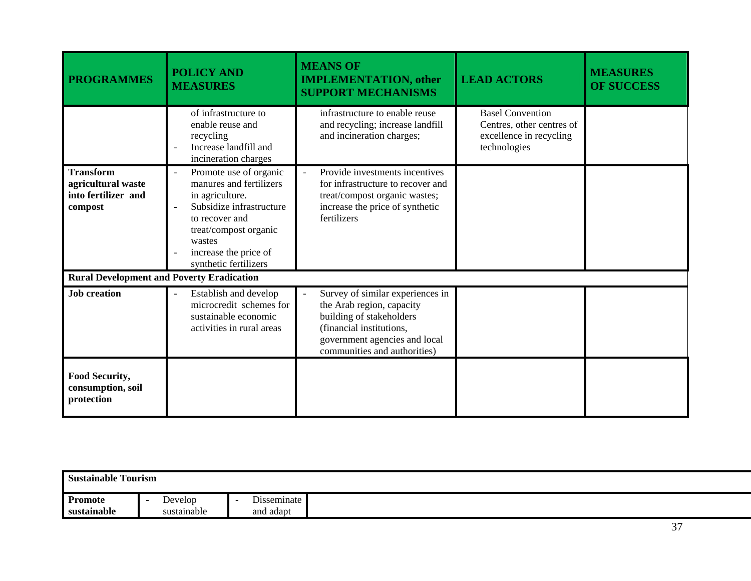| <b>PROGRAMMES</b>                                                        | <b>POLICY AND</b><br><b>MEASURES</b>                                                                                                                                                                    | <b>MEANS OF</b><br><b>IMPLEMENTATION, other</b><br><b>SUPPORT MECHANISMS</b>                                                                                                           | <b>LEAD ACTORS</b>                                                                              | <b>MEASURES</b><br><b>OF SUCCESS</b> |
|--------------------------------------------------------------------------|---------------------------------------------------------------------------------------------------------------------------------------------------------------------------------------------------------|----------------------------------------------------------------------------------------------------------------------------------------------------------------------------------------|-------------------------------------------------------------------------------------------------|--------------------------------------|
|                                                                          | of infrastructure to<br>enable reuse and<br>recycling<br>Increase landfill and<br>incineration charges                                                                                                  | infrastructure to enable reuse<br>and recycling; increase landfill<br>and incineration charges;                                                                                        | <b>Basel Convention</b><br>Centres, other centres of<br>excellence in recycling<br>technologies |                                      |
| <b>Transform</b><br>agricultural waste<br>into fertilizer and<br>compost | Promote use of organic<br>manures and fertilizers<br>in agriculture.<br>Subsidize infrastructure<br>to recover and<br>treat/compost organic<br>wastes<br>increase the price of<br>synthetic fertilizers | Provide investments incentives<br>for infrastructure to recover and<br>treat/compost organic wastes;<br>increase the price of synthetic<br>fertilizers                                 |                                                                                                 |                                      |
| <b>Rural Development and Poverty Eradication</b>                         |                                                                                                                                                                                                         |                                                                                                                                                                                        |                                                                                                 |                                      |
| <b>Job</b> creation                                                      | Establish and develop<br>microcredit schemes for<br>sustainable economic<br>activities in rural areas                                                                                                   | Survey of similar experiences in<br>the Arab region, capacity<br>building of stakeholders<br>(financial institutions,<br>government agencies and local<br>communities and authorities) |                                                                                                 |                                      |
| Food Security,<br>consumption, soil<br>protection                        |                                                                                                                                                                                                         |                                                                                                                                                                                        |                                                                                                 |                                      |

| <b>Sustainable Tourism</b> |             |             |  |
|----------------------------|-------------|-------------|--|
| <b>Promote</b>             | Develop     | Disseminate |  |
| sustainable                | sustainable | and adapt   |  |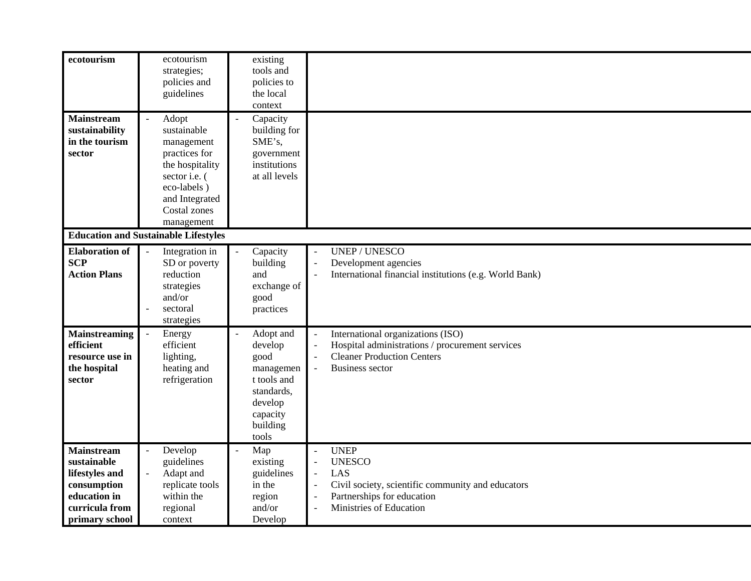| ecotourism<br><b>Mainstream</b><br>sustainability<br>in the tourism<br>sector                                  | ecotourism<br>strategies;<br>policies and<br>guidelines<br>Adopt<br>sustainable<br>management<br>practices for<br>the hospitality<br>sector i.e. (<br>eco-labels)<br>and Integrated<br>Costal zones<br>management | existing<br>tools and<br>policies to<br>the local<br>context<br>Capacity<br>building for<br>SME's,<br>government<br>institutions<br>at all levels |                                                                                                                                                                     |
|----------------------------------------------------------------------------------------------------------------|-------------------------------------------------------------------------------------------------------------------------------------------------------------------------------------------------------------------|---------------------------------------------------------------------------------------------------------------------------------------------------|---------------------------------------------------------------------------------------------------------------------------------------------------------------------|
|                                                                                                                | <b>Education and Sustainable Lifestyles</b>                                                                                                                                                                       |                                                                                                                                                   |                                                                                                                                                                     |
| <b>Elaboration</b> of<br><b>SCP</b><br><b>Action Plans</b>                                                     | Integration in<br>SD or poverty<br>reduction<br>strategies<br>and/or<br>sectoral<br>strategies                                                                                                                    | Capacity<br>building<br>and<br>exchange of<br>good<br>practices                                                                                   | <b>UNEP / UNESCO</b><br>Development agencies<br>International financial institutions (e.g. World Bank)                                                              |
| <b>Mainstreaming</b><br>efficient<br>resource use in<br>the hospital<br>sector                                 | Energy<br>efficient<br>lighting,<br>heating and<br>refrigeration                                                                                                                                                  | Adopt and<br>$\overline{a}$<br>develop<br>good<br>managemen<br>t tools and<br>standards,<br>develop<br>capacity<br>building<br>tools              | International organizations (ISO)<br>Hospital administrations / procurement services<br><b>Cleaner Production Centers</b><br><b>Business sector</b>                 |
| Mainstream<br>sustainable<br>lifestyles and<br>consumption<br>education in<br>curricula from<br>primary school | Develop<br>guidelines<br>Adapt and<br>replicate tools<br>within the<br>regional<br>context                                                                                                                        | Map<br>existing<br>guidelines<br>in the<br>region<br>and/or<br>Develop                                                                            | <b>UNEP</b><br><b>UNESCO</b><br>LAS<br>$\overline{a}$<br>Civil society, scientific community and educators<br>Partnerships for education<br>Ministries of Education |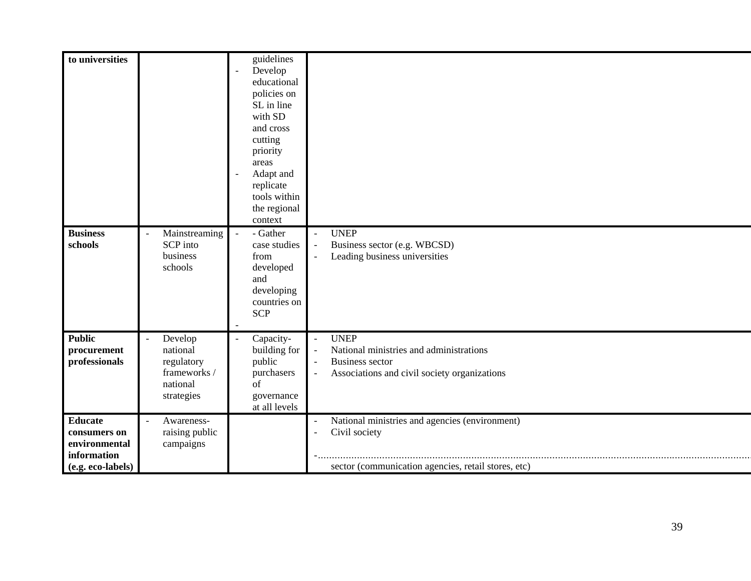| to universities<br><b>Business</b><br>schools                                       | Mainstreaming<br>$\overline{\phantom{a}}$<br>SCP into<br>business<br>schools                  | guidelines<br>Develop<br>educational<br>policies on<br>SL in line<br>with SD<br>and cross<br>cutting<br>priority<br>areas<br>Adapt and<br>replicate<br>tools within<br>the regional<br>context<br>- Gather<br>$\blacksquare$<br>case studies<br>from<br>developed<br>and<br>developing<br>countries on<br><b>SCP</b> | <b>UNEP</b><br>Business sector (e.g. WBCSD)<br>Leading business universities<br>$\sim$                                                   |
|-------------------------------------------------------------------------------------|-----------------------------------------------------------------------------------------------|----------------------------------------------------------------------------------------------------------------------------------------------------------------------------------------------------------------------------------------------------------------------------------------------------------------------|------------------------------------------------------------------------------------------------------------------------------------------|
| <b>Public</b><br>procurement<br>professionals                                       | Develop<br>$\overline{a}$<br>national<br>regulatory<br>frameworks /<br>national<br>strategies | Capacity-<br>building for<br>public<br>purchasers<br>of<br>governance<br>at all levels                                                                                                                                                                                                                               | <b>UNEP</b><br>National ministries and administrations<br><b>Business sector</b><br>Associations and civil society organizations         |
| <b>Educate</b><br>consumers on<br>environmental<br>information<br>(e.g. eco-labels) | Awareness-<br>$\overline{a}$<br>raising public<br>campaigns                                   |                                                                                                                                                                                                                                                                                                                      | National ministries and agencies (environment)<br>Civil society<br>$\overline{a}$<br>sector (communication agencies, retail stores, etc) |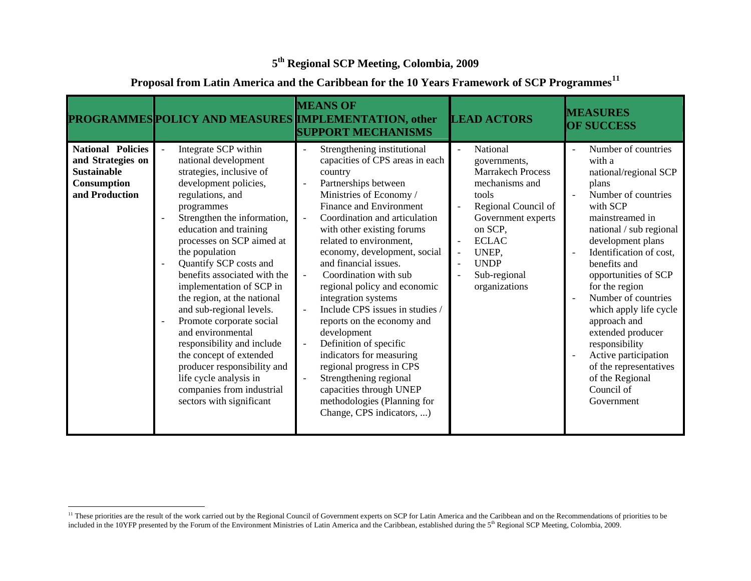## **<sup>5</sup>th Regional SCP Meeting, Colombia, 2009**

## **Proposal from Latin America and the Caribbean for the 10 Years Framework of SCP Programmes[11](#page-39-0)**

|                                                                                                      |                                                                                                                                                                                                                                                                                                                                                                                                                                                                                                                                                                                                                          | <b>MEANS OF</b><br>PROGRAMMES POLICY AND MEASURES IMPLEMENTATION, other<br><b>SUPPORT MECHANISMS</b>                                                                                                                                                                                                                                                                                                                                                                                                                                                                                                                                                                                                                      | <b>LEAD ACTORS</b>                                                                                                                                                                                               | <b>MEASURES</b><br><b>OF SUCCESS</b>                                                                                                                                                                                                                                                                                                                                                                                                                                |
|------------------------------------------------------------------------------------------------------|--------------------------------------------------------------------------------------------------------------------------------------------------------------------------------------------------------------------------------------------------------------------------------------------------------------------------------------------------------------------------------------------------------------------------------------------------------------------------------------------------------------------------------------------------------------------------------------------------------------------------|---------------------------------------------------------------------------------------------------------------------------------------------------------------------------------------------------------------------------------------------------------------------------------------------------------------------------------------------------------------------------------------------------------------------------------------------------------------------------------------------------------------------------------------------------------------------------------------------------------------------------------------------------------------------------------------------------------------------------|------------------------------------------------------------------------------------------------------------------------------------------------------------------------------------------------------------------|---------------------------------------------------------------------------------------------------------------------------------------------------------------------------------------------------------------------------------------------------------------------------------------------------------------------------------------------------------------------------------------------------------------------------------------------------------------------|
| <b>National Policies</b><br>and Strategies on<br><b>Sustainable</b><br>Consumption<br>and Production | Integrate SCP within<br>national development<br>strategies, inclusive of<br>development policies,<br>regulations, and<br>programmes<br>Strengthen the information,<br>education and training<br>processes on SCP aimed at<br>the population<br>Quantify SCP costs and<br>benefits associated with the<br>implementation of SCP in<br>the region, at the national<br>and sub-regional levels.<br>Promote corporate social<br>and environmental<br>responsibility and include<br>the concept of extended<br>producer responsibility and<br>life cycle analysis in<br>companies from industrial<br>sectors with significant | Strengthening institutional<br>capacities of CPS areas in each<br>country<br>Partnerships between<br>$\mathbf{r}$<br>Ministries of Economy /<br>Finance and Environment<br>Coordination and articulation<br>with other existing forums<br>related to environment,<br>economy, development, social<br>and financial issues.<br>Coordination with sub<br>$\overline{\phantom{a}}$<br>regional policy and economic<br>integration systems<br>Include CPS issues in studies /<br>reports on the economy and<br>development<br>Definition of specific<br>indicators for measuring<br>regional progress in CPS<br>Strengthening regional<br>capacities through UNEP<br>methodologies (Planning for<br>Change, CPS indicators, ) | National<br>governments,<br><b>Marrakech Process</b><br>mechanisms and<br>tools<br>Regional Council of<br>Government experts<br>on SCP,<br><b>ECLAC</b><br>UNEP.<br><b>UNDP</b><br>Sub-regional<br>organizations | Number of countries<br>with a<br>national/regional SCP<br>plans<br>Number of countries<br>with SCP<br>mainstreamed in<br>national / sub regional<br>development plans<br>Identification of cost,<br>benefits and<br>opportunities of SCP<br>for the region<br>Number of countries<br>which apply life cycle<br>approach and<br>extended producer<br>responsibility<br>Active participation<br>of the representatives<br>of the Regional<br>Council of<br>Government |

<span id="page-39-0"></span><sup>&</sup>lt;sup>11</sup> These priorities are the result of the work carried out by the Regional Council of Government experts on SCP for Latin America and the Caribbean and on the Recommendations of priorities to be included in the 10YFP presented by the Forum of the Environment Ministries of Latin America and the Caribbean, established during the 5<sup>th</sup> Regional SCP Meeting, Colombia, 2009.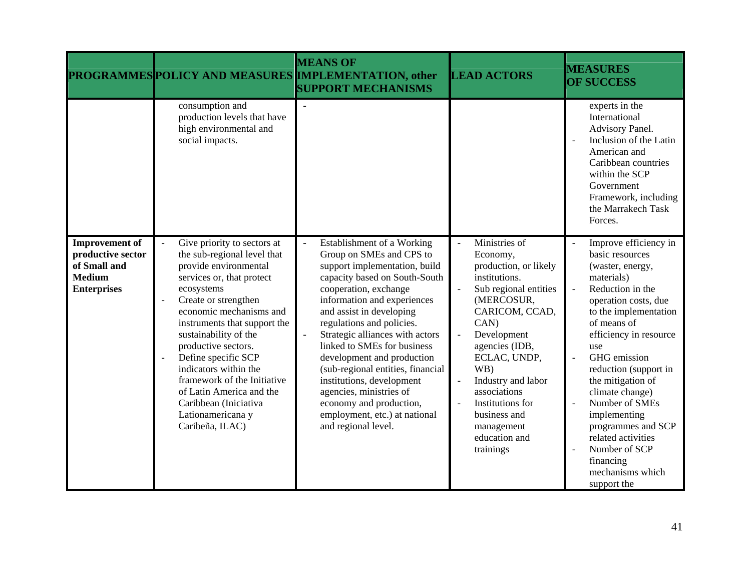|                                                                                                   |                                                                                                                                                                                                                                                                                                                                                                                                                                                                 | <b>MEANS OF</b><br>PROGRAMMES POLICY AND MEASURES IMPLEMENTATION, other<br><b>SUPPORT MECHANISMS</b>                                                                                                                                                                                                                                                                                                                                                                                                                                        | <b>LEAD ACTORS</b>                                                                                                                                                                                                                                                                                                 | <b>MEASURES</b><br><b>OF SUCCESS</b>                                                                                                                                                                                                                                                                                                                                                                                                                        |
|---------------------------------------------------------------------------------------------------|-----------------------------------------------------------------------------------------------------------------------------------------------------------------------------------------------------------------------------------------------------------------------------------------------------------------------------------------------------------------------------------------------------------------------------------------------------------------|---------------------------------------------------------------------------------------------------------------------------------------------------------------------------------------------------------------------------------------------------------------------------------------------------------------------------------------------------------------------------------------------------------------------------------------------------------------------------------------------------------------------------------------------|--------------------------------------------------------------------------------------------------------------------------------------------------------------------------------------------------------------------------------------------------------------------------------------------------------------------|-------------------------------------------------------------------------------------------------------------------------------------------------------------------------------------------------------------------------------------------------------------------------------------------------------------------------------------------------------------------------------------------------------------------------------------------------------------|
|                                                                                                   | consumption and<br>production levels that have<br>high environmental and<br>social impacts.                                                                                                                                                                                                                                                                                                                                                                     |                                                                                                                                                                                                                                                                                                                                                                                                                                                                                                                                             |                                                                                                                                                                                                                                                                                                                    | experts in the<br>International<br>Advisory Panel.<br>Inclusion of the Latin<br>American and<br>Caribbean countries<br>within the SCP<br>Government<br>Framework, including<br>the Marrakech Task<br>Forces.                                                                                                                                                                                                                                                |
| <b>Improvement</b> of<br>productive sector<br>of Small and<br><b>Medium</b><br><b>Enterprises</b> | Give priority to sectors at<br>the sub-regional level that<br>provide environmental<br>services or, that protect<br>ecosystems<br>Create or strengthen<br>$\overline{a}$<br>economic mechanisms and<br>instruments that support the<br>sustainability of the<br>productive sectors.<br>Define specific SCP<br>indicators within the<br>framework of the Initiative<br>of Latin America and the<br>Caribbean (Iniciativa<br>Lationamericana y<br>Caribeña, ILAC) | Establishment of a Working<br>Group on SMEs and CPS to<br>support implementation, build<br>capacity based on South-South<br>cooperation, exchange<br>information and experiences<br>and assist in developing<br>regulations and policies.<br>Strategic alliances with actors<br>$\overline{a}$<br>linked to SMEs for business<br>development and production<br>(sub-regional entities, financial<br>institutions, development<br>agencies, ministries of<br>economy and production,<br>employment, etc.) at national<br>and regional level. | Ministries of<br>Economy,<br>production, or likely<br>institutions.<br>Sub regional entities<br>(MERCOSUR,<br>CARICOM, CCAD,<br>CAN)<br>Development<br>agencies (IDB,<br>ECLAC, UNDP,<br>WB)<br>Industry and labor<br>associations<br>Institutions for<br>business and<br>management<br>education and<br>trainings | Improve efficiency in<br>basic resources<br>(waster, energy,<br>materials)<br>Reduction in the<br>$\overline{a}$<br>operation costs, due<br>to the implementation<br>of means of<br>efficiency in resource<br>use<br>GHG emission<br>$\sim$<br>reduction (support in<br>the mitigation of<br>climate change)<br>Number of SMEs<br>implementing<br>programmes and SCP<br>related activities<br>Number of SCP<br>financing<br>mechanisms which<br>support the |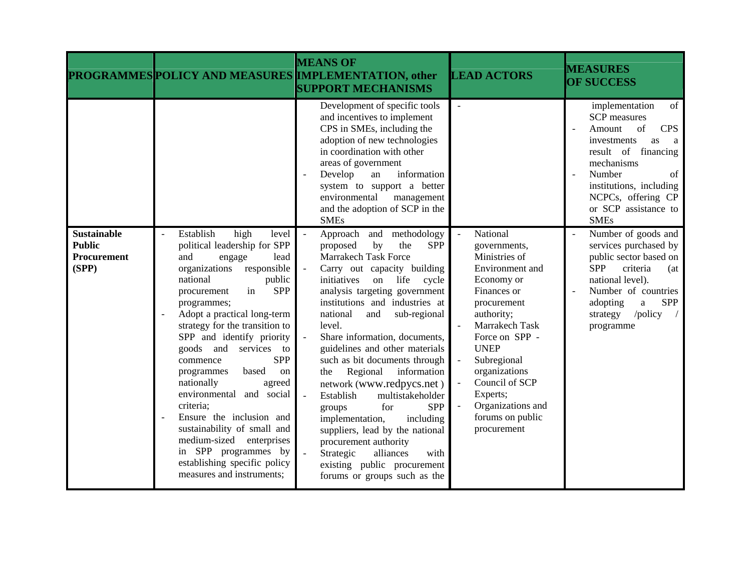|                                                             |                                                                                                                                                                                                                                                                                                                                                                                                                                                                                                                                                                                                                           | <b>MEANS OF</b><br>PROGRAMMES POLICY AND MEASURES IMPLEMENTATION, other<br><b>SUPPORT MECHANISMS</b>                                                                                                                                                                                                                                                                                                                                                                                                                                                                                                                                                                                                                | <b>LEAD ACTORS</b>                                                                                                                                                                                                                                                                                                       | <b>MEASURES</b><br><b>OF SUCCESS</b>                                                                                                                                                                                                                        |
|-------------------------------------------------------------|---------------------------------------------------------------------------------------------------------------------------------------------------------------------------------------------------------------------------------------------------------------------------------------------------------------------------------------------------------------------------------------------------------------------------------------------------------------------------------------------------------------------------------------------------------------------------------------------------------------------------|---------------------------------------------------------------------------------------------------------------------------------------------------------------------------------------------------------------------------------------------------------------------------------------------------------------------------------------------------------------------------------------------------------------------------------------------------------------------------------------------------------------------------------------------------------------------------------------------------------------------------------------------------------------------------------------------------------------------|--------------------------------------------------------------------------------------------------------------------------------------------------------------------------------------------------------------------------------------------------------------------------------------------------------------------------|-------------------------------------------------------------------------------------------------------------------------------------------------------------------------------------------------------------------------------------------------------------|
|                                                             |                                                                                                                                                                                                                                                                                                                                                                                                                                                                                                                                                                                                                           | Development of specific tools<br>and incentives to implement<br>CPS in SMEs, including the<br>adoption of new technologies<br>in coordination with other<br>areas of government<br>Develop<br>information<br>an<br>system to support a better<br>environmental<br>management<br>and the adoption of SCP in the<br><b>SMEs</b>                                                                                                                                                                                                                                                                                                                                                                                       | $\mathbb{L}$                                                                                                                                                                                                                                                                                                             | of<br>implementation<br><b>SCP</b> measures<br><b>CPS</b><br>of<br>Amount<br>investments<br>as<br><sub>a</sub><br>result of financing<br>mechanisms<br>Number<br>of<br>institutions, including<br>NCPCs, offering CP<br>or SCP assistance to<br><b>SMEs</b> |
| <b>Sustainable</b><br><b>Public</b><br>Procurement<br>(SPP) | Establish<br>high<br>level<br>political leadership for SPP<br>and<br>lead<br>engage<br>responsible<br>organizations<br>national<br>public<br><b>SPP</b><br>in<br>procurement<br>programmes;<br>Adopt a practical long-term<br>strategy for the transition to<br>SPP and identify priority<br>goods and services to<br><b>SPP</b><br>commence<br>based<br>programmes<br>on<br>nationally<br>agreed<br>environmental<br>and social<br>criteria;<br>Ensure the inclusion and<br>sustainability of small and<br>medium-sized enterprises<br>in SPP programmes by<br>establishing specific policy<br>measures and instruments; | and methodology<br>Approach<br><b>SPP</b><br>proposed<br>by<br>the<br><b>Marrakech Task Force</b><br>Carry out capacity building<br>initiatives<br>on life<br>cycle<br>analysis targeting government<br>institutions and industries at<br>sub-regional<br>and<br>national<br>level.<br>Share information, documents,<br>guidelines and other materials<br>such as bit documents through<br>information<br>Regional<br>the<br>network (www.redpycs.net)<br>multistakeholder<br>Establish<br>for<br><b>SPP</b><br>groups<br>implementation,<br>including<br>suppliers, lead by the national<br>procurement authority<br>Strategic<br>alliances<br>with<br>existing public procurement<br>forums or groups such as the | National<br>governments,<br>Ministries of<br>Environment and<br>Economy or<br>Finances or<br>procurement<br>authority;<br><b>Marrakech Task</b><br>Force on SPP -<br><b>UNEP</b><br>Subregional<br>organizations<br>Council of SCP<br>Experts;<br>Organizations and<br>$\overline{a}$<br>forums on public<br>procurement | Number of goods and<br>services purchased by<br>public sector based on<br><b>SPP</b><br>criteria<br>(at<br>national level).<br>Number of countries<br><b>SPP</b><br>adopting<br>a<br>/policy<br>strategy<br>programme                                       |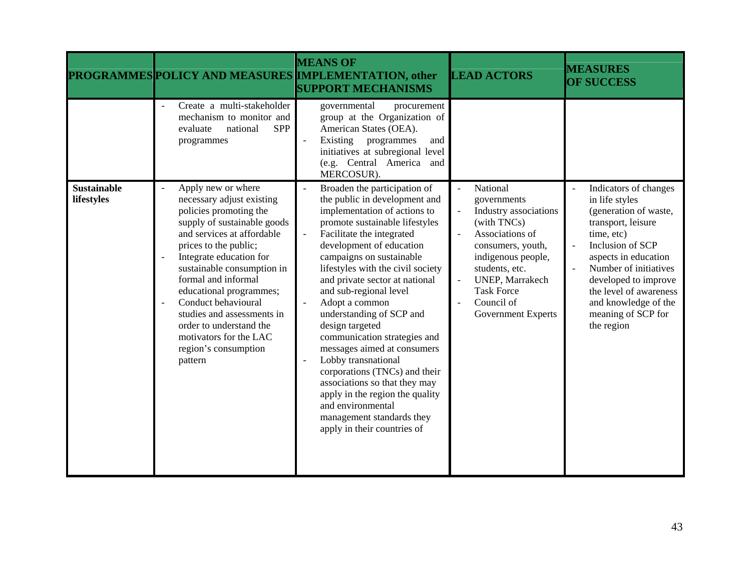|                                  |                                                                                                                                                                                                                                                                                                                                                                                                                         | <b>MEANS OF</b><br><b>PROGRAMMES POLICY AND MEASURES IMPLEMENTATION, other</b><br><b>SUPPORT MECHANISMS</b>                                                                                                                                                                                                                                                                                                                                                                                                                                                                                                                                                                                            | <b>LEAD ACTORS</b>                                                                                                                                                                                                                 | <b>MEASURES</b><br><b>OF SUCCESS</b>                                                                                                                                                                                                                                                    |
|----------------------------------|-------------------------------------------------------------------------------------------------------------------------------------------------------------------------------------------------------------------------------------------------------------------------------------------------------------------------------------------------------------------------------------------------------------------------|--------------------------------------------------------------------------------------------------------------------------------------------------------------------------------------------------------------------------------------------------------------------------------------------------------------------------------------------------------------------------------------------------------------------------------------------------------------------------------------------------------------------------------------------------------------------------------------------------------------------------------------------------------------------------------------------------------|------------------------------------------------------------------------------------------------------------------------------------------------------------------------------------------------------------------------------------|-----------------------------------------------------------------------------------------------------------------------------------------------------------------------------------------------------------------------------------------------------------------------------------------|
|                                  | Create a multi-stakeholder<br>mechanism to monitor and<br><b>SPP</b><br>evaluate<br>national<br>programmes                                                                                                                                                                                                                                                                                                              | governmental<br>procurement<br>group at the Organization of<br>American States (OEA).<br>Existing<br>programmes<br>and<br>initiatives at subregional level<br>(e.g. Central America and<br>MERCOSUR).                                                                                                                                                                                                                                                                                                                                                                                                                                                                                                  |                                                                                                                                                                                                                                    |                                                                                                                                                                                                                                                                                         |
| <b>Sustainable</b><br>lifestyles | Apply new or where<br>necessary adjust existing<br>policies promoting the<br>supply of sustainable goods<br>and services at affordable<br>prices to the public;<br>Integrate education for<br>sustainable consumption in<br>formal and informal<br>educational programmes;<br>Conduct behavioural<br>studies and assessments in<br>order to understand the<br>motivators for the LAC<br>region's consumption<br>pattern | Broaden the participation of<br>the public in development and<br>implementation of actions to<br>promote sustainable lifestyles<br>Facilitate the integrated<br>$\blacksquare$<br>development of education<br>campaigns on sustainable<br>lifestyles with the civil society<br>and private sector at national<br>and sub-regional level<br>Adopt a common<br>understanding of SCP and<br>design targeted<br>communication strategies and<br>messages aimed at consumers<br>Lobby transnational<br>$\overline{a}$<br>corporations (TNCs) and their<br>associations so that they may<br>apply in the region the quality<br>and environmental<br>management standards they<br>apply in their countries of | National<br>governments<br>Industry associations<br>(with TNCs)<br>Associations of<br>consumers, youth,<br>indigenous people,<br>students, etc.<br>UNEP, Marrakech<br><b>Task Force</b><br>Council of<br><b>Government Experts</b> | Indicators of changes<br>in life styles<br>(generation of waste,<br>transport, leisure<br>time, etc)<br>Inclusion of SCP<br>aspects in education<br>Number of initiatives<br>developed to improve<br>the level of awareness<br>and knowledge of the<br>meaning of SCP for<br>the region |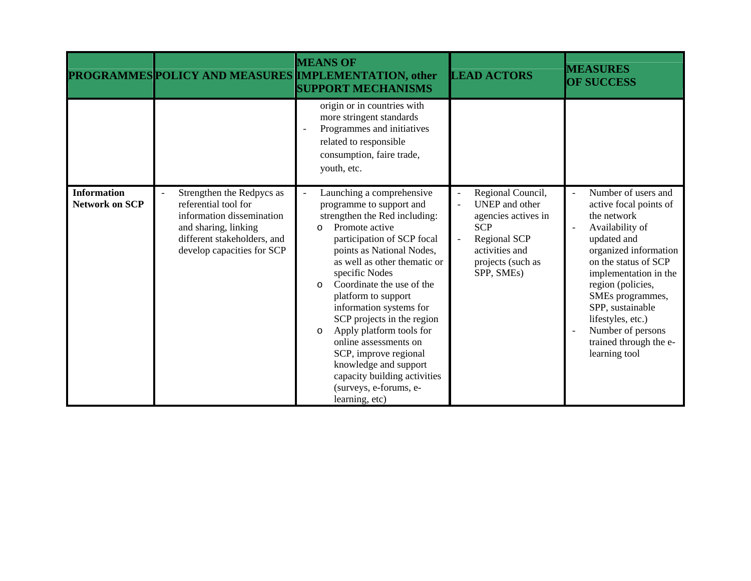|                                             |                                                                                                                                                                     | <b>MEANS OF</b><br><b>PROGRAMMES POLICY AND MEASURES IMPLEMENTATION, other</b><br><b>SUPPORT MECHANISMS</b>                                                                                                                                                                                                                                                                                                                                                                                                                                              | <b>LEAD ACTORS</b>                                                                                                                                   | <b>MEASURES</b><br><b>OF SUCCESS</b>                                                                                                                                                                                                                                                                                       |
|---------------------------------------------|---------------------------------------------------------------------------------------------------------------------------------------------------------------------|----------------------------------------------------------------------------------------------------------------------------------------------------------------------------------------------------------------------------------------------------------------------------------------------------------------------------------------------------------------------------------------------------------------------------------------------------------------------------------------------------------------------------------------------------------|------------------------------------------------------------------------------------------------------------------------------------------------------|----------------------------------------------------------------------------------------------------------------------------------------------------------------------------------------------------------------------------------------------------------------------------------------------------------------------------|
|                                             |                                                                                                                                                                     | origin or in countries with<br>more stringent standards<br>Programmes and initiatives<br>related to responsible<br>consumption, faire trade,<br>youth, etc.                                                                                                                                                                                                                                                                                                                                                                                              |                                                                                                                                                      |                                                                                                                                                                                                                                                                                                                            |
| <b>Information</b><br><b>Network on SCP</b> | Strengthen the Redpycs as<br>referential tool for<br>information dissemination<br>and sharing, linking<br>different stakeholders, and<br>develop capacities for SCP | Launching a comprehensive<br>programme to support and<br>strengthen the Red including:<br>Promote active<br>$\Omega$<br>participation of SCP focal<br>points as National Nodes,<br>as well as other thematic or<br>specific Nodes<br>Coordinate the use of the<br>$\Omega$<br>platform to support<br>information systems for<br>SCP projects in the region<br>Apply platform tools for<br>$\circ$<br>online assessments on<br>SCP, improve regional<br>knowledge and support<br>capacity building activities<br>(surveys, e-forums, e-<br>learning, etc) | Regional Council,<br>UNEP and other<br>agencies actives in<br><b>SCP</b><br><b>Regional SCP</b><br>activities and<br>projects (such as<br>SPP, SMEs) | Number of users and<br>active focal points of<br>the network<br>Availability of<br>updated and<br>organized information<br>on the status of SCP<br>implementation in the<br>region (policies,<br>SMEs programmes,<br>SPP, sustainable<br>lifestyles, etc.)<br>Number of persons<br>trained through the e-<br>learning tool |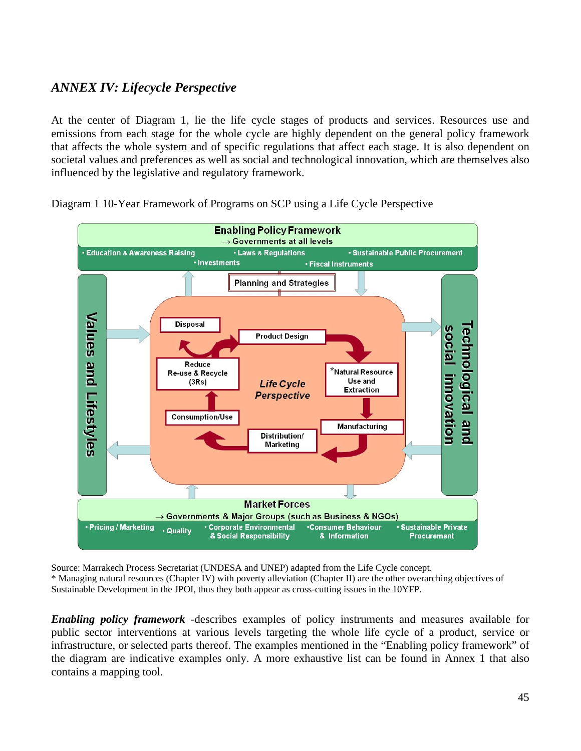## <span id="page-44-0"></span>*ANNEX IV: Lifecycle Perspective*

At the center of Diagram 1, lie the life cycle stages of products and services. Resources use and emissions from each stage for the whole cycle are highly dependent on the general policy framework that affects the whole system and of specific regulations that affect each stage. It is also dependent on societal values and preferences as well as social and technological innovation, which are themselves also influenced by the legislative and regulatory framework.



Diagram 1 10-Year Framework of Programs on SCP using a Life Cycle Perspective

Source: Marrakech Process Secretariat (UNDESA and UNEP) adapted from the Life Cycle concept. \* Managing natural resources (Chapter IV) with poverty alleviation (Chapter II) are the other overarching objectives of Sustainable Development in the JPOI, thus they both appear as cross-cutting issues in the 10YFP.

*Enabling policy framework* -describes examples of policy instruments and measures available for public sector interventions at various levels targeting the whole life cycle of a product, service or infrastructure, or selected parts thereof. The examples mentioned in the "Enabling policy framework" of the diagram are indicative examples only. A more exhaustive list can be found in Annex 1 that also contains a mapping tool.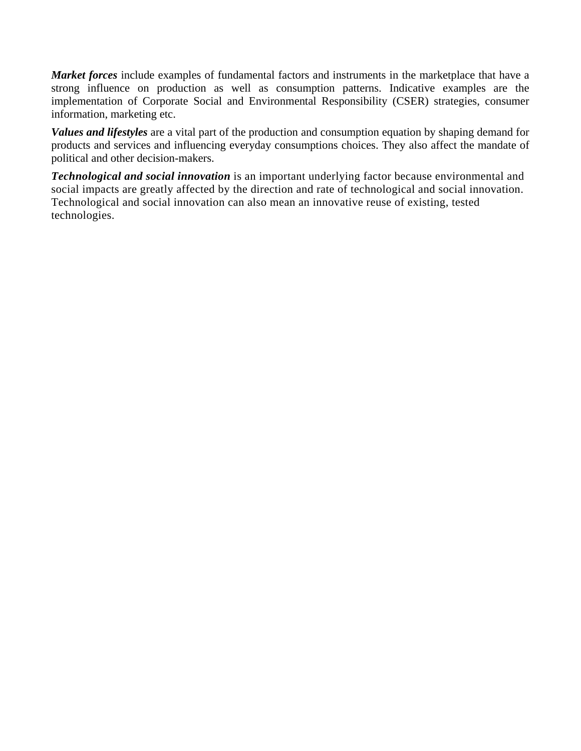*Market forces* include examples of fundamental factors and instruments in the marketplace that have a strong influence on production as well as consumption patterns. Indicative examples are the implementation of Corporate Social and Environmental Responsibility (CSER) strategies, consumer information, marketing etc.

*Values and lifestyles* are a vital part of the production and consumption equation by shaping demand for products and services and influencing everyday consumptions choices. They also affect the mandate of political and other decision-makers.

*Technological and social innovation* is an important underlying factor because environmental and social impacts are greatly affected by the direction and rate of technological and social innovation. Technological and social innovation can also mean an innovative reuse of existing, tested technologies.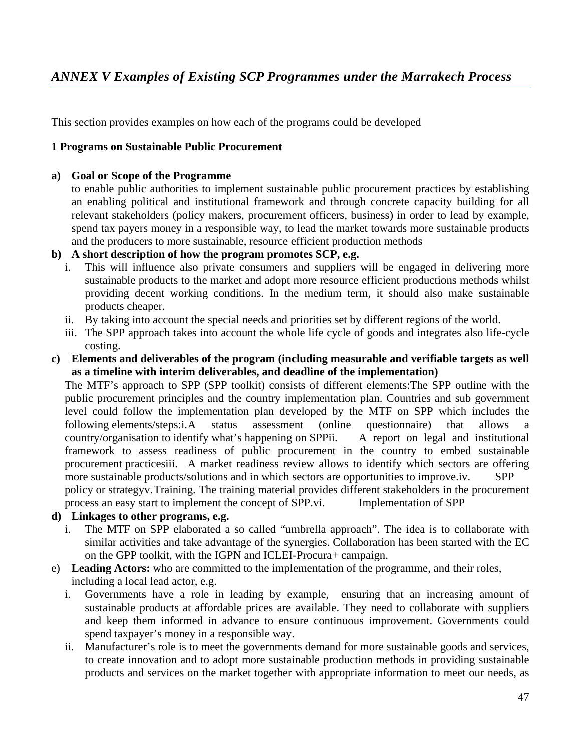This section provides examples on how each of the programs could be developed

#### **1 Programs on Sustainable Public Procurement**

#### **a) Goal or Scope of the Programme**

to enable public authorities to implement sustainable public procurement practices by establishing an enabling political and institutional framework and through concrete capacity building for all relevant stakeholders (policy makers, procurement officers, business) in order to lead by example, spend tax payers money in a responsible way, to lead the market towards more sustainable products and the producers to more sustainable, resource efficient production methods

#### **b) A short description of how the program promotes SCP, e.g.**

- i. This will influence also private consumers and suppliers will be engaged in delivering more sustainable products to the market and adopt more resource efficient productions methods whilst providing decent working conditions. In the medium term, it should also make sustainable products cheaper.
- ii. By taking into account the special needs and priorities set by different regions of the world.
- iii. The SPP approach takes into account the whole life cycle of goods and integrates also life-cycle costing.
- **c) Elements and deliverables of the program (including measurable and verifiable targets as well as a timeline with interim deliverables, and deadline of the implementation)**

The MTF's approach to SPP (SPP toolkit) consists of different elements:The SPP outline with the public procurement principles and the country implementation plan. Countries and sub government level could follow the implementation plan developed by the MTF on SPP which includes the following elements/steps:i. A status assessment (online questionnaire) that allows a country/organisation to identify what's happening on SPPii. A report on legal and institutional framework to assess readiness of public procurement in the country to embed sustainable procurement practicesiii. A market readiness review allows to identify which sectors are offering more sustainable products/solutions and in which sectors are opportunities to improve.iv. SPP policy or strategyv. Training. The training material provides different stakeholders in the procurement process an easy start to implement the concept of SPP.vi. Implementation of SPP

#### **d) Linkages to other programs, e.g.**

- i. The MTF on SPP elaborated a so called "umbrella approach". The idea is to collaborate with similar activities and take advantage of the synergies. Collaboration has been started with the EC on the GPP toolkit, with the IGPN and ICLEI-Procura+ campaign.
- e) **Leading Actors:** who are committed to the implementation of the programme, and their roles, including a local lead actor, e.g.
	- i. Governments have a role in leading by example, ensuring that an increasing amount of sustainable products at affordable prices are available. They need to collaborate with suppliers and keep them informed in advance to ensure continuous improvement. Governments could spend taxpayer's money in a responsible way.
	- ii. Manufacturer's role is to meet the governments demand for more sustainable goods and services, to create innovation and to adopt more sustainable production methods in providing sustainable products and services on the market together with appropriate information to meet our needs, as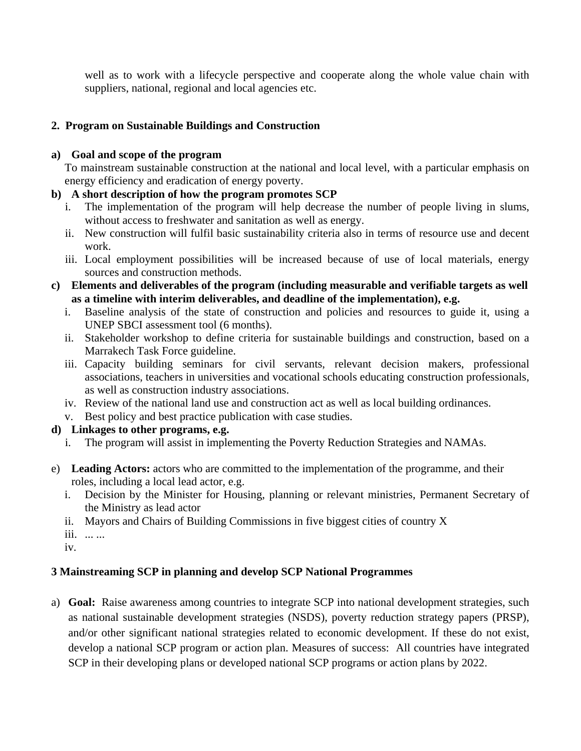well as to work with a lifecycle perspective and cooperate along the whole value chain with suppliers, national, regional and local agencies etc.

#### **2. Program on Sustainable Buildings and Construction**

#### **a) Goal and scope of the program**

To mainstream sustainable construction at the national and local level, with a particular emphasis on energy efficiency and eradication of energy poverty.

#### **b) A short description of how the program promotes SCP**

- i. The implementation of the program will help decrease the number of people living in slums, without access to freshwater and sanitation as well as energy.
- ii. New construction will fulfil basic sustainability criteria also in terms of resource use and decent work.
- iii. Local employment possibilities will be increased because of use of local materials, energy sources and construction methods.
- **c) Elements and deliverables of the program (including measurable and verifiable targets as well as a timeline with interim deliverables, and deadline of the implementation), e.g.** 
	- i. Baseline analysis of the state of construction and policies and resources to guide it, using a UNEP SBCI assessment tool (6 months).
	- ii. Stakeholder workshop to define criteria for sustainable buildings and construction, based on a Marrakech Task Force guideline.
	- iii. Capacity building seminars for civil servants, relevant decision makers, professional associations, teachers in universities and vocational schools educating construction professionals, as well as construction industry associations.
	- iv. Review of the national land use and construction act as well as local building ordinances.
	- v. Best policy and best practice publication with case studies.

#### **d) Linkages to other programs, e.g.**

- i. The program will assist in implementing the Poverty Reduction Strategies and NAMAs.
- e) **Leading Actors:** actors who are committed to the implementation of the programme, and their roles, including a local lead actor, e.g.
	- i. Decision by the Minister for Housing, planning or relevant ministries, Permanent Secretary of the Ministry as lead actor
	- ii. Mayors and Chairs of Building Commissions in five biggest cities of country X
	- iii. ... ...
	- iv.

#### **3 Mainstreaming SCP in planning and develop SCP National Programmes**

a) **Goal:** Raise awareness among countries to integrate SCP into national development strategies, such as national sustainable development strategies (NSDS), poverty reduction strategy papers (PRSP), and/or other significant national strategies related to economic development. If these do not exist, develop a national SCP program or action plan. Measures of success: All countries have integrated SCP in their developing plans or developed national SCP programs or action plans by 2022.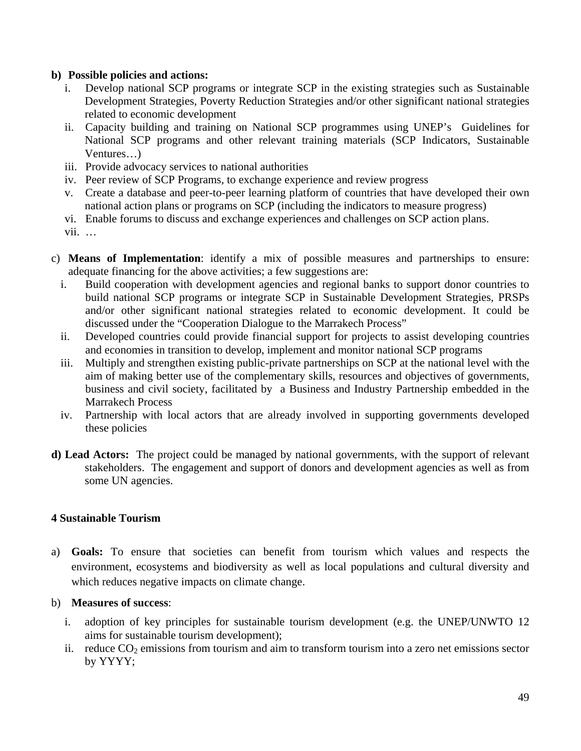#### **b) Possible policies and actions:**

- i. Develop national SCP programs or integrate SCP in the existing strategies such as Sustainable Development Strategies, Poverty Reduction Strategies and/or other significant national strategies related to economic development
- ii. Capacity building and training on National SCP programmes using UNEP's Guidelines for National SCP programs and other relevant training materials (SCP Indicators, Sustainable Ventures…)
- iii. Provide advocacy services to national authorities
- iv. Peer review of SCP Programs, to exchange experience and review progress
- v. Create a database and peer-to-peer learning platform of countries that have developed their own national action plans or programs on SCP (including the indicators to measure progress)
- vi. Enable forums to discuss and exchange experiences and challenges on SCP action plans.
- vii. …
- c) **Means of Implementation**: identify a mix of possible measures and partnerships to ensure: adequate financing for the above activities; a few suggestions are:
	- i. Build cooperation with development agencies and regional banks to support donor countries to build national SCP programs or integrate SCP in Sustainable Development Strategies, PRSPs and/or other significant national strategies related to economic development. It could be discussed under the "Cooperation Dialogue to the Marrakech Process"
	- ii. Developed countries could provide financial support for projects to assist developing countries and economies in transition to develop, implement and monitor national SCP programs
	- iii. Multiply and strengthen existing public-private partnerships on SCP at the national level with the aim of making better use of the complementary skills, resources and objectives of governments, business and civil society, facilitated by a Business and Industry Partnership embedded in the Marrakech Process
	- iv. Partnership with local actors that are already involved in supporting governments developed these policies
- **d) Lead Actors:** The project could be managed by national governments, with the support of relevant stakeholders. The engagement and support of donors and development agencies as well as from some UN agencies.

#### **4 Sustainable Tourism**

a) **Goals:** To ensure that societies can benefit from tourism which values and respects the environment, ecosystems and biodiversity as well as local populations and cultural diversity and which reduces negative impacts on climate change.

#### b) **Measures of success**:

- i. adoption of key principles for sustainable tourism development (e.g. the UNEP/UNWTO 12 aims for sustainable tourism development);
- ii. reduce  $CO<sub>2</sub>$  emissions from tourism and aim to transform tourism into a zero net emissions sector by YYYY;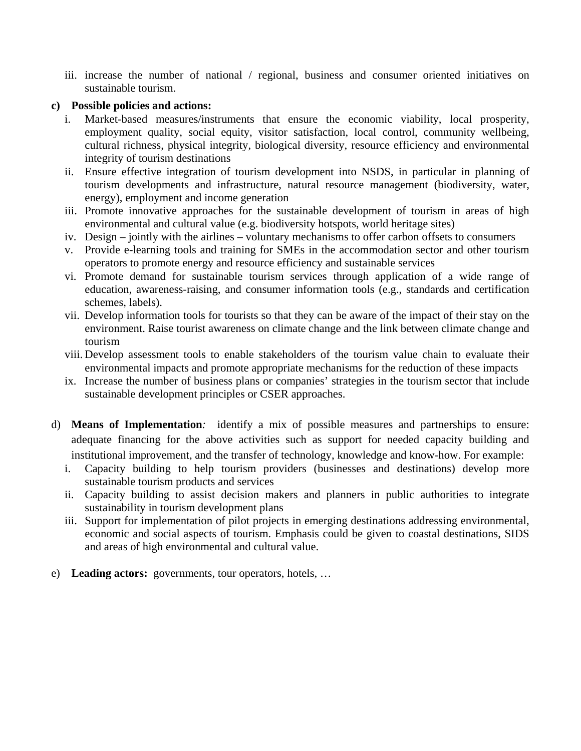iii. increase the number of national / regional, business and consumer oriented initiatives on sustainable tourism.

#### **c) Possible policies and actions:**

- i. Market-based measures/instruments that ensure the economic viability, local prosperity, employment quality, social equity, visitor satisfaction, local control, community wellbeing, cultural richness, physical integrity, biological diversity, resource efficiency and environmental integrity of tourism destinations
- ii. Ensure effective integration of tourism development into NSDS, in particular in planning of tourism developments and infrastructure, natural resource management (biodiversity, water, energy), employment and income generation
- iii. Promote innovative approaches for the sustainable development of tourism in areas of high environmental and cultural value (e.g. biodiversity hotspots, world heritage sites)
- iv. Design jointly with the airlines voluntary mechanisms to offer carbon offsets to consumers
- v. Provide e-learning tools and training for SMEs in the accommodation sector and other tourism operators to promote energy and resource efficiency and sustainable services
- vi. Promote demand for sustainable tourism services through application of a wide range of education, awareness-raising, and consumer information tools (e.g., standards and certification schemes, labels).
- vii. Develop information tools for tourists so that they can be aware of the impact of their stay on the environment. Raise tourist awareness on climate change and the link between climate change and tourism
- viii. Develop assessment tools to enable stakeholders of the tourism value chain to evaluate their environmental impacts and promote appropriate mechanisms for the reduction of these impacts
- ix. Increase the number of business plans or companies' strategies in the tourism sector that include sustainable development principles or CSER approaches.
- d) **Means of Implementation***:* identify a mix of possible measures and partnerships to ensure: adequate financing for the above activities such as support for needed capacity building and institutional improvement, and the transfer of technology, knowledge and know-how. For example:
	- i. Capacity building to help tourism providers (businesses and destinations) develop more sustainable tourism products and services
	- ii. Capacity building to assist decision makers and planners in public authorities to integrate sustainability in tourism development plans
	- iii. Support for implementation of pilot projects in emerging destinations addressing environmental, economic and social aspects of tourism. Emphasis could be given to coastal destinations, SIDS and areas of high environmental and cultural value.
- e) **Leading actors:** governments, tour operators, hotels, …